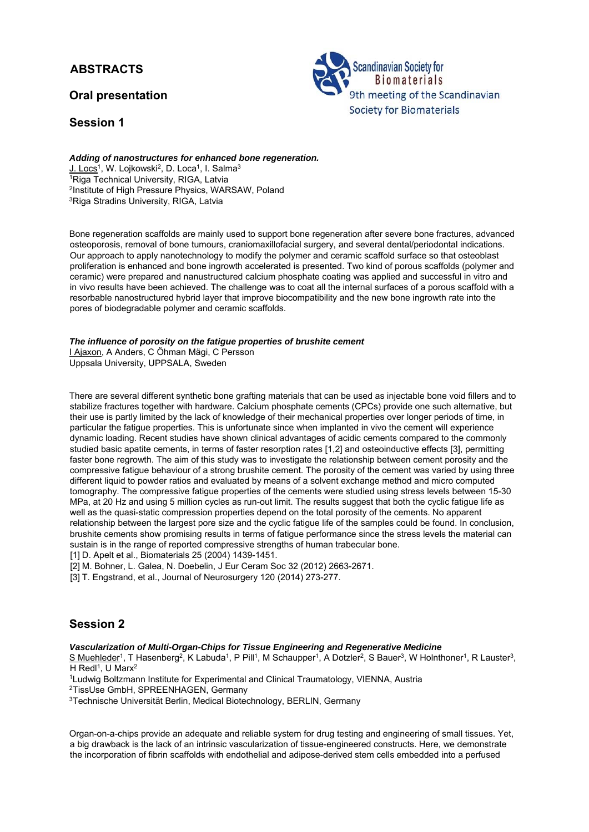## **ABSTRACTS**

## **Oral presentation**

## **Session 1**



## Adding of nanostructures for enhanced bone regeneration.<br>
J. Locs<sup>1</sup>, W. Lojkowski<sup>2</sup>, D. Loca<sup>1</sup>, I. Salma<sup>3</sup> <sup>1</sup>Riga Technical University, RIGA, Latvia

2Institute of High Pressure Physics, WARSAW, Poland 3Riga Stradins University, RIGA, Latvia

Bone regeneration scaffolds are mainly used to support bone regeneration after severe bone fractures, advanced osteoporosis, removal of bone tumours, craniomaxillofacial surgery, and several dental/periodontal indications. Our approach to apply nanotechnology to modify the polymer and ceramic scaffold surface so that osteoblast proliferation is enhanced and bone ingrowth accelerated is presented. Two kind of porous scaffolds (polymer and ceramic) were prepared and nanustructured calcium phosphate coating was applied and successful in vitro and in vivo results have been achieved. The challenge was to coat all the internal surfaces of a porous scaffold with a resorbable nanostructured hybrid layer that improve biocompatibility and the new bone ingrowth rate into the pores of biodegradable polymer and ceramic scaffolds.

#### *The influence of porosity on the fatigue properties of brushite cement*

I Ajaxon, A Anders, C Öhman Mägi, C Persson Uppsala University, UPPSALA, Sweden

There are several different synthetic bone grafting materials that can be used as injectable bone void fillers and to stabilize fractures together with hardware. Calcium phosphate cements (CPCs) provide one such alternative, but their use is partly limited by the lack of knowledge of their mechanical properties over longer periods of time, in particular the fatigue properties. This is unfortunate since when implanted in vivo the cement will experience dynamic loading. Recent studies have shown clinical advantages of acidic cements compared to the commonly studied basic apatite cements, in terms of faster resorption rates [1,2] and osteoinductive effects [3], permitting faster bone regrowth. The aim of this study was to investigate the relationship between cement porosity and the compressive fatigue behaviour of a strong brushite cement. The porosity of the cement was varied by using three different liquid to powder ratios and evaluated by means of a solvent exchange method and micro computed tomography. The compressive fatigue properties of the cements were studied using stress levels between 15-30 MPa, at 20 Hz and using 5 million cycles as run-out limit. The results suggest that both the cyclic fatigue life as well as the quasi-static compression properties depend on the total porosity of the cements. No apparent relationship between the largest pore size and the cyclic fatigue life of the samples could be found. In conclusion, brushite cements show promising results in terms of fatigue performance since the stress levels the material can sustain is in the range of reported compressive strengths of human trabecular bone.

[1] D. Apelt et al., Biomaterials 25 (2004) 1439-1451.

[2] M. Bohner, L. Galea, N. Doebelin, J Eur Ceram Soc 32 (2012) 2663-2671.

[3] T. Engstrand, et al., Journal of Neurosurgery 120 (2014) 273-277.

## **Session 2**

*Vascularization of Multi-Organ-Chips for Tissue Engineering and Regenerative Medicine* 

S Muehleder<sup>1</sup>, T Hasenberg<sup>2</sup>, K Labuda<sup>1</sup>, P Pill<sup>1</sup>, M Schaupper<sup>1</sup>, A Dotzler<sup>2</sup>, S Bauer<sup>3</sup>, W Holnthoner<sup>1</sup>, R Lauster<sup>3</sup>,

H Redl<sup>1</sup>, U Marx<sup>2</sup><br><sup>1</sup>Ludwig Boltzmann Institute for Experimental and Clinical Traumatology, VIENNA, Austria<br><sup>2</sup>TissUse GmbH, SPREENHAGEN, Germany

3Technische Universität Berlin, Medical Biotechnology, BERLIN, Germany

Organ-on-a-chips provide an adequate and reliable system for drug testing and engineering of small tissues. Yet, a big drawback is the lack of an intrinsic vascularization of tissue-engineered constructs. Here, we demonstrate the incorporation of fibrin scaffolds with endothelial and adipose-derived stem cells embedded into a perfused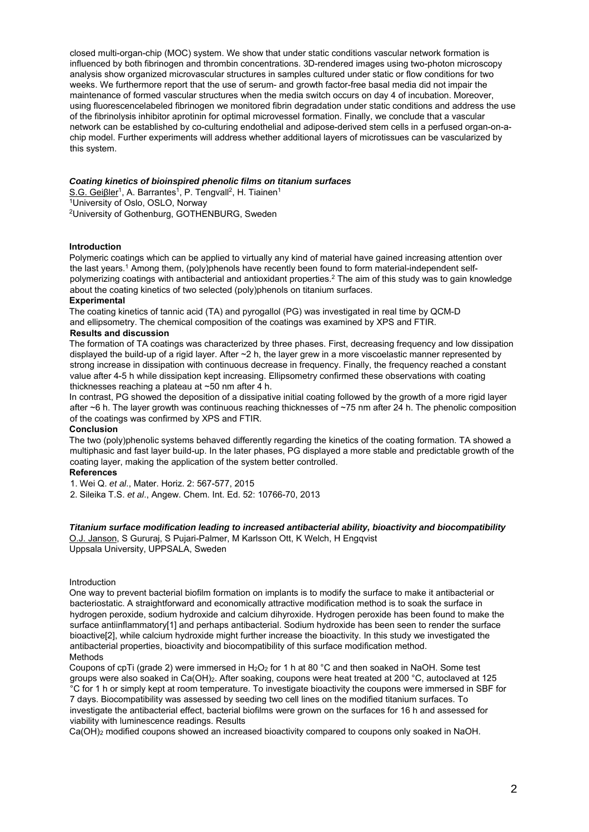closed multi-organ-chip (MOC) system. We show that under static conditions vascular network formation is influenced by both fibrinogen and thrombin concentrations. 3D-rendered images using two-photon microscopy analysis show organized microvascular structures in samples cultured under static or flow conditions for two weeks. We furthermore report that the use of serum- and growth factor-free basal media did not impair the maintenance of formed vascular structures when the media switch occurs on day 4 of incubation. Moreover, using fluorescencelabeled fibrinogen we monitored fibrin degradation under static conditions and address the use of the fibrinolysis inhibitor aprotinin for optimal microvessel formation. Finally, we conclude that a vascular network can be established by co-culturing endothelial and adipose-derived stem cells in a perfused organ-on-achip model. Further experiments will address whether additional layers of microtissues can be vascularized by this system.

#### *Coating kinetics of bioinspired phenolic films on titanium surfaces*

S.G. Geiβler<sup>1</sup>, A. Barrantes<sup>1</sup>, P. Tengvall<sup>2</sup>, H. Tiainen<sup>1</sup><br><sup>1</sup>University of Oslo, OSLO, Norway 2University of Gothenburg, GOTHENBURG, Sweden

#### **Introduction**

Polymeric coatings which can be applied to virtually any kind of material have gained increasing attention over the last years.1 Among them, (poly)phenols have recently been found to form material-independent selfpolymerizing coatings with antibacterial and antioxidant properties.2 The aim of this study was to gain knowledge about the coating kinetics of two selected (poly)phenols on titanium surfaces.

#### **Experimental**

The coating kinetics of tannic acid (TA) and pyrogallol (PG) was investigated in real time by QCM-D and ellipsometry. The chemical composition of the coatings was examined by XPS and FTIR.

#### **Results and discussion**

The formation of TA coatings was characterized by three phases. First, decreasing frequency and low dissipation displayed the build-up of a rigid layer. After ~2 h, the layer grew in a more viscoelastic manner represented by strong increase in dissipation with continuous decrease in frequency. Finally, the frequency reached a constant value after 4-5 h while dissipation kept increasing. Ellipsometry confirmed these observations with coating thicknesses reaching a plateau at ~50 nm after 4 h.

In contrast, PG showed the deposition of a dissipative initial coating followed by the growth of a more rigid layer after ~6 h. The layer growth was continuous reaching thicknesses of ~75 nm after 24 h. The phenolic composition of the coatings was confirmed by XPS and FTIR.

#### **Conclusion**

The two (poly)phenolic systems behaved differently regarding the kinetics of the coating formation. TA showed a multiphasic and fast layer build-up. In the later phases, PG displayed a more stable and predictable growth of the coating layer, making the application of the system better controlled.

### **References**

1. Wei Q. *et al*., Mater. Horiz. 2: 567-577, 2015

2. Sileika T.S. *et al*., Angew. Chem. Int. Ed. 52: 10766-70, 2013

#### *Titanium surface modification leading to increased antibacterial ability, bioactivity and biocompatibility*

O.J. Janson, S Gururaj, S Pujari-Palmer, M Karlsson Ott, K Welch, H Engqvist Uppsala University, UPPSALA, Sweden

#### Introduction

One way to prevent bacterial biofilm formation on implants is to modify the surface to make it antibacterial or bacteriostatic. A straightforward and economically attractive modification method is to soak the surface in hydrogen peroxide, sodium hydroxide and calcium dihyroxide. Hydrogen peroxide has been found to make the surface antiinflammatory[1] and perhaps antibacterial. Sodium hydroxide has been seen to render the surface bioactive[2], while calcium hydroxide might further increase the bioactivity. In this study we investigated the antibacterial properties, bioactivity and biocompatibility of this surface modification method. Methods

Coupons of cpTi (grade 2) were immersed in H<sub>2</sub>O<sub>2</sub> for 1 h at 80 °C and then soaked in NaOH. Some test groups were also soaked in Ca(OH)<sub>2</sub>. After soaking, coupons were heat treated at 200 °C, autoclaved at 125 °C for 1 h or simply kept at room temperature. To investigate bioactivity the coupons were immersed in SBF for 7 days. Biocompatibility was assessed by seeding two cell lines on the modified titanium surfaces. To investigate the antibacterial effect, bacterial biofilms were grown on the surfaces for 16 h and assessed for viability with luminescence readings. Results

Ca(OH)2 modified coupons showed an increased bioactivity compared to coupons only soaked in NaOH.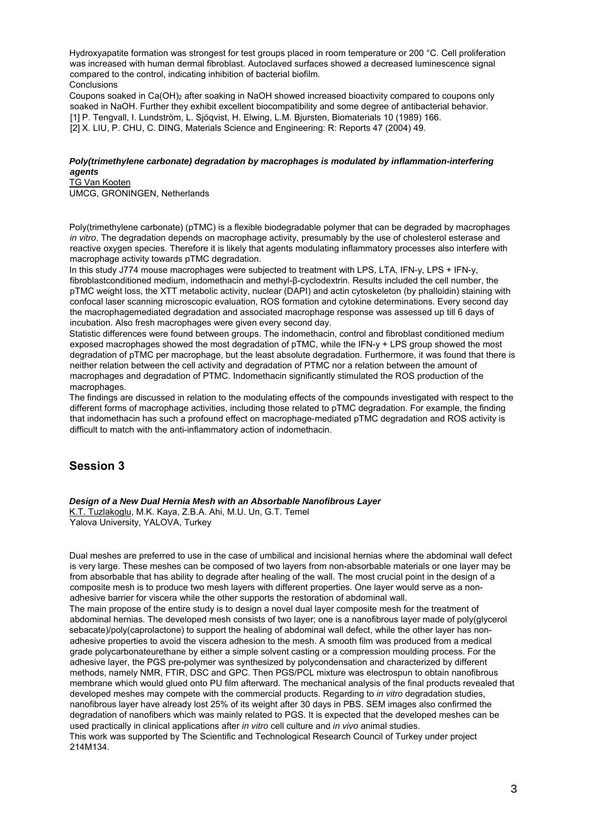Hydroxyapatite formation was strongest for test groups placed in room temperature or 200 °C. Cell proliferation was increased with human dermal fibroblast. Autoclaved surfaces showed a decreased luminescence signal compared to the control, indicating inhibition of bacterial biofilm. **Conclusions** 

Coupons soaked in Ca(OH)2 after soaking in NaOH showed increased bioactivity compared to coupons only soaked in NaOH. Further they exhibit excellent biocompatibility and some degree of antibacterial behavior. [1] P. Tengvall, I. Lundström, L. Sjöqvist, H. Elwing, L.M. Bjursten, Biomaterials 10 (1989) 166. [2] X. LIU, P. CHU, C. DING, Materials Science and Engineering: R: Reports 47 (2004) 49.

#### *Poly(trimethylene carbonate) degradation by macrophages is modulated by inflammation-interfering agents*

TG Van Kooten UMCG, GRONINGEN, Netherlands

Poly(trimethylene carbonate) (pTMC) is a flexible biodegradable polymer that can be degraded by macrophages *in vitro*. The degradation depends on macrophage activity, presumably by the use of cholesterol esterase and reactive oxygen species. Therefore it is likely that agents modulating inflammatory processes also interfere with macrophage activity towards pTMC degradation.

In this study J774 mouse macrophages were subjected to treatment with LPS, LTA, IFN-v, LPS + IFN-v. fibroblastconditioned medium, indomethacin and methyl-β-cyclodextrin. Results included the cell number, the pTMC weight loss, the XTT metabolic activity, nuclear (DAPI) and actin cytoskeleton (by phalloidin) staining with confocal laser scanning microscopic evaluation, ROS formation and cytokine determinations. Every second day the macrophagemediated degradation and associated macrophage response was assessed up till 6 days of incubation. Also fresh macrophages were given every second day.

Statistic differences were found between groups. The indomethacin, control and fibroblast conditioned medium exposed macrophages showed the most degradation of pTMC, while the IFN-y + LPS group showed the most degradation of pTMC per macrophage, but the least absolute degradation. Furthermore, it was found that there is neither relation between the cell activity and degradation of PTMC nor a relation between the amount of macrophages and degradation of PTMC. Indomethacin significantly stimulated the ROS production of the macrophages.

The findings are discussed in relation to the modulating effects of the compounds investigated with respect to the different forms of macrophage activities, including those related to pTMC degradation. For example, the finding that indomethacin has such a profound effect on macrophage-mediated pTMC degradation and ROS activity is difficult to match with the anti-inflammatory action of indomethacin.

## **Session 3**

#### *Design of a New Dual Hernia Mesh with an Absorbable Nanofibrous Layer*

K.T. Tuzlakoglu, M.K. Kaya, Z.B.A. Ahi, M.U. Un, G.T. Temel Yalova University, YALOVA, Turkey

Dual meshes are preferred to use in the case of umbilical and incisional hernias where the abdominal wall defect is very large. These meshes can be composed of two layers from non-absorbable materials or one layer may be from absorbable that has ability to degrade after healing of the wall. The most crucial point in the design of a composite mesh is to produce two mesh layers with different properties. One layer would serve as a nonadhesive barrier for viscera while the other supports the restoration of abdominal wall. The main propose of the entire study is to design a novel dual layer composite mesh for the treatment of abdominal hernias. The developed mesh consists of two layer; one is a nanofibrous layer made of poly(glycerol sebacate)/poly(caprolactone) to support the healing of abdominal wall defect, while the other layer has nonadhesive properties to avoid the viscera adhesion to the mesh. A smooth film was produced from a medical grade polycarbonateurethane by either a simple solvent casting or a compression moulding process. For the adhesive layer, the PGS pre-polymer was synthesized by polycondensation and characterized by different methods, namely NMR, FTIR, DSC and GPC. Then PGS/PCL mixture was electrospun to obtain nanofibrous membrane which would glued onto PU film afterward. The mechanical analysis of the final products revealed that developed meshes may compete with the commercial products. Regarding to *in vitro* degradation studies, nanofibrous layer have already lost 25% of its weight after 30 days in PBS. SEM images also confirmed the degradation of nanofibers which was mainly related to PGS. It is expected that the developed meshes can be used practically in clinical applications after *in vitro* cell culture and *in vivo* animal studies. This work was supported by The Scientific and Technological Research Council of Turkey under project 214M134.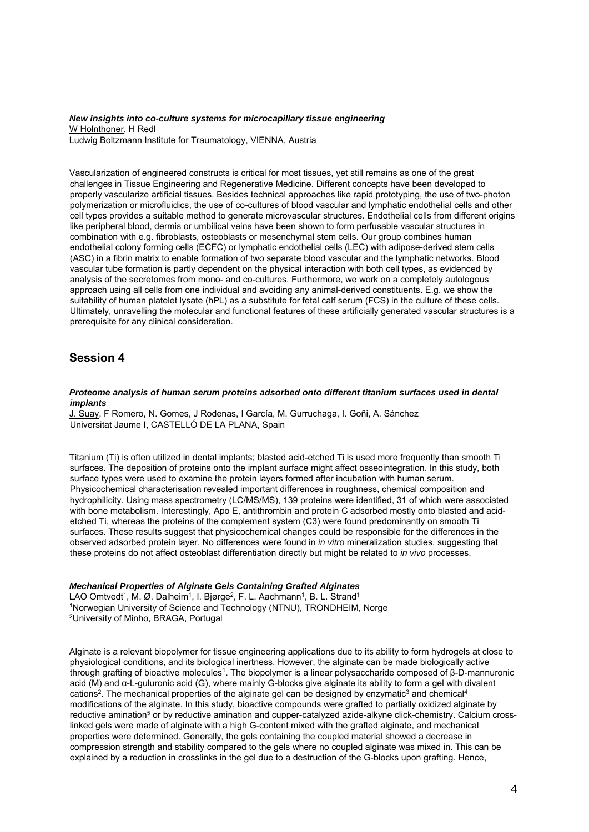#### *New insights into co-culture systems for microcapillary tissue engineering*  W Holnthoner, H Redl Ludwig Boltzmann Institute for Traumatology, VIENNA, Austria

Vascularization of engineered constructs is critical for most tissues, yet still remains as one of the great challenges in Tissue Engineering and Regenerative Medicine. Different concepts have been developed to properly vascularize artificial tissues. Besides technical approaches like rapid prototyping, the use of two-photon polymerization or microfluidics, the use of co-cultures of blood vascular and lymphatic endothelial cells and other cell types provides a suitable method to generate microvascular structures. Endothelial cells from different origins like peripheral blood, dermis or umbilical veins have been shown to form perfusable vascular structures in combination with e.g. fibroblasts, osteoblasts or mesenchymal stem cells. Our group combines human endothelial colony forming cells (ECFC) or lymphatic endothelial cells (LEC) with adipose-derived stem cells (ASC) in a fibrin matrix to enable formation of two separate blood vascular and the lymphatic networks. Blood vascular tube formation is partly dependent on the physical interaction with both cell types, as evidenced by analysis of the secretomes from mono- and co-cultures. Furthermore, we work on a completely autologous approach using all cells from one individual and avoiding any animal-derived constituents. E.g. we show the suitability of human platelet lysate (hPL) as a substitute for fetal calf serum (FCS) in the culture of these cells. Ultimately, unravelling the molecular and functional features of these artificially generated vascular structures is a prerequisite for any clinical consideration.

## **Session 4**

#### *Proteome analysis of human serum proteins adsorbed onto different titanium surfaces used in dental implants*

J. Suay, F Romero, N. Gomes, J Rodenas, I García, M. Gurruchaga, I. Goñi, A. Sánchez Universitat Jaume I, CASTELLÓ DE LA PLANA, Spain

Titanium (Ti) is often utilized in dental implants; blasted acid-etched Ti is used more frequently than smooth Ti surfaces. The deposition of proteins onto the implant surface might affect osseointegration. In this study, both surface types were used to examine the protein layers formed after incubation with human serum. Physicochemical characterisation revealed important differences in roughness, chemical composition and hydrophilicity. Using mass spectrometry (LC/MS/MS), 139 proteins were identified, 31 of which were associated with bone metabolism. Interestingly, Apo E, antithrombin and protein C adsorbed mostly onto blasted and acidetched Ti, whereas the proteins of the complement system (C3) were found predominantly on smooth Ti surfaces. These results suggest that physicochemical changes could be responsible for the differences in the observed adsorbed protein layer. No differences were found in *in vitro* mineralization studies, suggesting that these proteins do not affect osteoblast differentiation directly but might be related to *in vivo* processes.

#### *Mechanical Properties of Alginate Gels Containing Grafted Alginates*

LAO Omtvedt<sup>1</sup>, M. Ø. Dalheim<sup>1</sup>, I. Bjørge<sup>2</sup>, F. L. Aachmann<sup>1</sup>, B. L. Strand<sup>1</sup><br><sup>1</sup>Norwegian University of Science and Technology (NTNU), TRONDHEIM, Norge <sup>2</sup>University of Minho, BRAGA, Portugal

Alginate is a relevant biopolymer for tissue engineering applications due to its ability to form hydrogels at close to physiological conditions, and its biological inertness. However, the alginate can be made biologically active through grafting of bioactive molecules1. The biopolymer is a linear polysaccharide composed of β-D-mannuronic acid (M) and α-L-guluronic acid (G), where mainly G-blocks give alginate its ability to form a gel with divalent cations<sup>2</sup>. The mechanical properties of the alginate gel can be designed by enzymatic<sup>3</sup> and chemical<sup>4</sup> modifications of the alginate. In this study, bioactive compounds were grafted to partially oxidized alginate by reductive amination<sup>5</sup> or by reductive amination and cupper-catalyzed azide-alkyne click-chemistry. Calcium crosslinked gels were made of alginate with a high G-content mixed with the grafted alginate, and mechanical properties were determined. Generally, the gels containing the coupled material showed a decrease in compression strength and stability compared to the gels where no coupled alginate was mixed in. This can be explained by a reduction in crosslinks in the gel due to a destruction of the G-blocks upon grafting. Hence,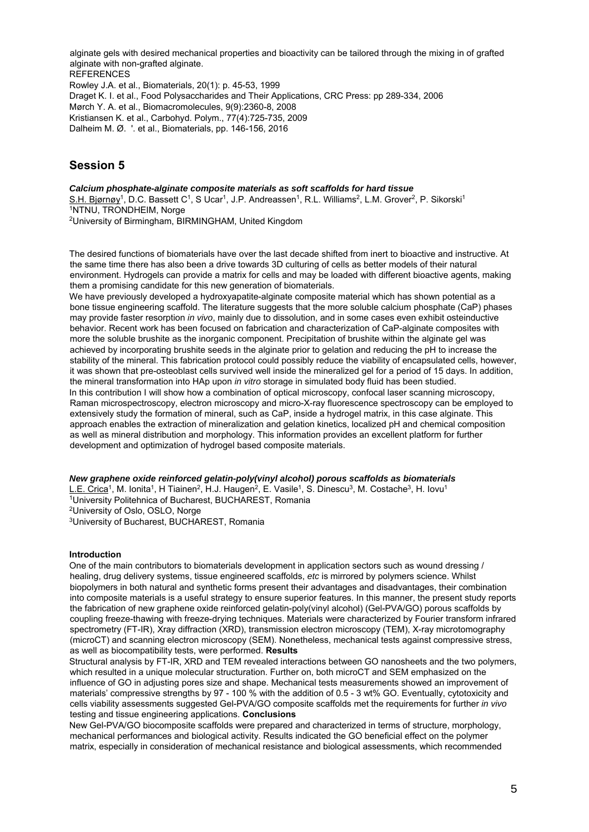alginate gels with desired mechanical properties and bioactivity can be tailored through the mixing in of grafted alginate with non-grafted alginate. REFERENCES Rowley J.A. et al., Biomaterials, 20(1): p. 45-53, 1999 Draget K. I. et al., Food Polysaccharides and Their Applications, CRC Press: pp 289-334, 2006 Mørch Y. A. et al., Biomacromolecules, 9(9):2360-8, 2008 Kristiansen K. et al., Carbohyd. Polym., 77(4):725-735, 2009 Dalheim M. Ø. '. et al., Biomaterials, pp. 146-156, 2016

## **Session 5**

*Calcium phosphate-alginate composite materials as soft scaffolds for hard tissue*  S.H. Bjørnøy<sup>1</sup>, D.C. Bassett C<sup>1</sup>, S Ucar<sup>1</sup>, J.P. Andreassen<sup>1</sup>, R.L. Williams<sup>2</sup>, L.M. Grover<sup>2</sup>, P. Sikorski<sup>1</sup><br><sup>1</sup>NTNU, TRONDHEIM, Norge 2University of Birmingham, BIRMINGHAM, United Kingdom

The desired functions of biomaterials have over the last decade shifted from inert to bioactive and instructive. At the same time there has also been a drive towards 3D culturing of cells as better models of their natural environment. Hydrogels can provide a matrix for cells and may be loaded with different bioactive agents, making them a promising candidate for this new generation of biomaterials.

We have previously developed a hydroxyapatite-alginate composite material which has shown potential as a bone tissue engineering scaffold. The literature suggests that the more soluble calcium phosphate (CaP) phases may provide faster resorption *in vivo*, mainly due to dissolution, and in some cases even exhibit osteinductive behavior. Recent work has been focused on fabrication and characterization of CaP-alginate composites with more the soluble brushite as the inorganic component. Precipitation of brushite within the alginate gel was achieved by incorporating brushite seeds in the alginate prior to gelation and reducing the pH to increase the stability of the mineral. This fabrication protocol could possibly reduce the viability of encapsulated cells, however, it was shown that pre-osteoblast cells survived well inside the mineralized gel for a period of 15 days. In addition, the mineral transformation into HAp upon *in vitro* storage in simulated body fluid has been studied. In this contribution I will show how a combination of optical microscopy, confocal laser scanning microscopy, Raman microspectroscopy, electron microscopy and micro-X-ray fluorescence spectroscopy can be employed to extensively study the formation of mineral, such as CaP, inside a hydrogel matrix, in this case alginate. This approach enables the extraction of mineralization and gelation kinetics, localized pH and chemical composition as well as mineral distribution and morphology. This information provides an excellent platform for further development and optimization of hydrogel based composite materials.

#### *New graphene oxide reinforced gelatin-poly(vinyl alcohol) porous scaffolds as biomaterials*

L.E. Crica<sup>1</sup>, M. Ionita<sup>1</sup>, H Tiainen<sup>2</sup>, H.J. Haugen<sup>2</sup>, E. Vasile<sup>1</sup>, S. Dinescu<sup>3</sup>, M. Costache<sup>3</sup>, H. Iovu<sup>1</sup><br><sup>1</sup>University Politehnica of Bucharest, BUCHAREST, Romania 2University of Oslo, OSLO, Norge 3University of Bucharest, BUCHAREST, Romania

#### **Introduction**

One of the main contributors to biomaterials development in application sectors such as wound dressing / healing, drug delivery systems, tissue engineered scaffolds, *etc* is mirrored by polymers science. Whilst biopolymers in both natural and synthetic forms present their advantages and disadvantages, their combination into composite materials is a useful strategy to ensure superior features. In this manner, the present study reports the fabrication of new graphene oxide reinforced gelatin-poly(vinyl alcohol) (Gel-PVA/GO) porous scaffolds by coupling freeze-thawing with freeze-drying techniques. Materials were characterized by Fourier transform infrared spectrometry (FT-IR), Xray diffraction (XRD), transmission electron microscopy (TEM), X-ray microtomography (microCT) and scanning electron microscopy (SEM). Nonetheless, mechanical tests against compressive stress, as well as biocompatibility tests, were performed. **Results**

Structural analysis by FT-IR, XRD and TEM revealed interactions between GO nanosheets and the two polymers, which resulted in a unique molecular structuration. Further on, both microCT and SEM emphasized on the influence of GO in adjusting pores size and shape. Mechanical tests measurements showed an improvement of materials' compressive strengths by 97 - 100 % with the addition of 0.5 - 3 wt% GO. Eventually, cytotoxicity and cells viability assessments suggested Gel-PVA/GO composite scaffolds met the requirements for further *in vivo* testing and tissue engineering applications. **Conclusions**

New Gel-PVA/GO biocomposite scaffolds were prepared and characterized in terms of structure, morphology, mechanical performances and biological activity. Results indicated the GO beneficial effect on the polymer matrix, especially in consideration of mechanical resistance and biological assessments, which recommended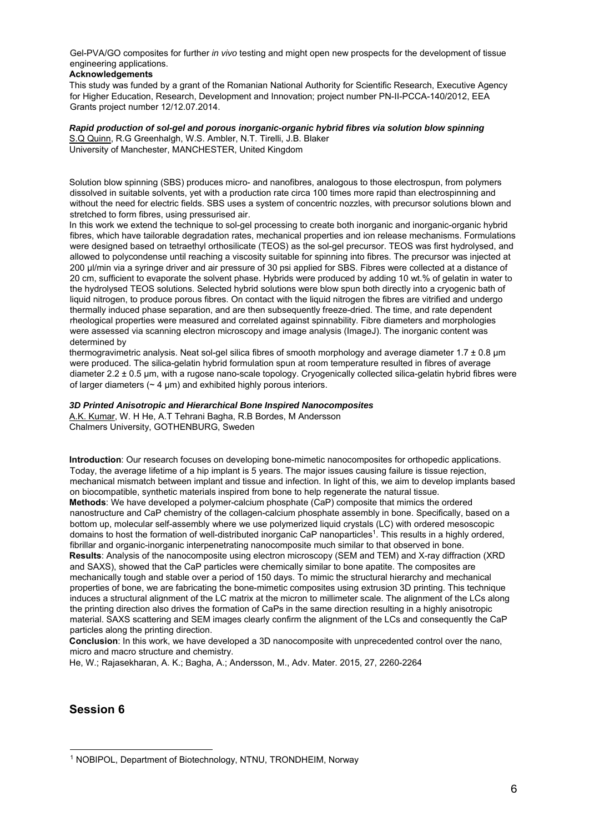Gel-PVA/GO composites for further *in vivo* testing and might open new prospects for the development of tissue engineering applications.

#### **Acknowledgements**

This study was funded by a grant of the Romanian National Authority for Scientific Research, Executive Agency for Higher Education, Research, Development and Innovation; project number PN-II-PCCA-140/2012, EEA Grants project number 12/12.07.2014.

#### *Rapid production of sol-gel and porous inorganic-organic hybrid fibres via solution blow spinning*  S.Q Quinn, R.G Greenhalgh, W.S. Ambler, N.T. Tirelli, J.B. Blaker

University of Manchester, MANCHESTER, United Kingdom

Solution blow spinning (SBS) produces micro- and nanofibres, analogous to those electrospun, from polymers dissolved in suitable solvents, yet with a production rate circa 100 times more rapid than electrospinning and without the need for electric fields. SBS uses a system of concentric nozzles, with precursor solutions blown and stretched to form fibres, using pressurised air.

In this work we extend the technique to sol-gel processing to create both inorganic and inorganic-organic hybrid fibres, which have tailorable degradation rates, mechanical properties and ion release mechanisms. Formulations were designed based on tetraethyl orthosilicate (TEOS) as the sol-gel precursor. TEOS was first hydrolysed, and allowed to polycondense until reaching a viscosity suitable for spinning into fibres. The precursor was injected at 200 µl/min via a syringe driver and air pressure of 30 psi applied for SBS. Fibres were collected at a distance of 20 cm, sufficient to evaporate the solvent phase. Hybrids were produced by adding 10 wt.% of gelatin in water to the hydrolysed TEOS solutions. Selected hybrid solutions were blow spun both directly into a cryogenic bath of liquid nitrogen, to produce porous fibres. On contact with the liquid nitrogen the fibres are vitrified and undergo thermally induced phase separation, and are then subsequently freeze-dried. The time, and rate dependent rheological properties were measured and correlated against spinnability. Fibre diameters and morphologies were assessed via scanning electron microscopy and image analysis (ImageJ). The inorganic content was determined by

thermogravimetric analysis. Neat sol-gel silica fibres of smooth morphology and average diameter 1.7 ± 0.8 µm were produced. The silica-gelatin hybrid formulation spun at room temperature resulted in fibres of average diameter 2.2 ± 0.5 µm, with a rugose nano-scale topology. Cryogenically collected silica-gelatin hybrid fibres were of larger diameters  $($   $\sim$  4  $\mu$ m) and exhibited highly porous interiors.

#### *3D Printed Anisotropic and Hierarchical Bone Inspired Nanocomposites*

A.K. Kumar, W. H He, A.T Tehrani Bagha, R.B Bordes, M Andersson Chalmers University, GOTHENBURG, Sweden

**Introduction**: Our research focuses on developing bone-mimetic nanocomposites for orthopedic applications. Today, the average lifetime of a hip implant is 5 years. The major issues causing failure is tissue rejection, mechanical mismatch between implant and tissue and infection. In light of this, we aim to develop implants based on biocompatible, synthetic materials inspired from bone to help regenerate the natural tissue. **Methods**: We have developed a polymer-calcium phosphate (CaP) composite that mimics the ordered nanostructure and CaP chemistry of the collagen-calcium phosphate assembly in bone. Specifically, based on a bottom up, molecular self-assembly where we use polymerized liquid crystals (LC) with ordered mesoscopic domains to host the formation of well-distributed inorganic CaP nanoparticles1. This results in a highly ordered, fibrillar and organic-inorganic interpenetrating nanocomposite much similar to that observed in bone. **Results**: Analysis of the nanocomposite using electron microscopy (SEM and TEM) and X-ray diffraction (XRD and SAXS), showed that the CaP particles were chemically similar to bone apatite. The composites are mechanically tough and stable over a period of 150 days. To mimic the structural hierarchy and mechanical properties of bone, we are fabricating the bone-mimetic composites using extrusion 3D printing. This technique induces a structural alignment of the LC matrix at the micron to millimeter scale. The alignment of the LCs along the printing direction also drives the formation of CaPs in the same direction resulting in a highly anisotropic material. SAXS scattering and SEM images clearly confirm the alignment of the LCs and consequently the CaP particles along the printing direction.

**Conclusion:** In this work, we have developed a 3D nanocomposite with unprecedented control over the nano, micro and macro structure and chemistry.

He, W.; Rajasekharan, A. K.; Bagha, A.; Andersson, M., Adv. Mater. 2015, 27, 2260-2264

## **Session 6**

<sup>-</sup>1 NOBIPOL, Department of Biotechnology, NTNU, TRONDHEIM, Norway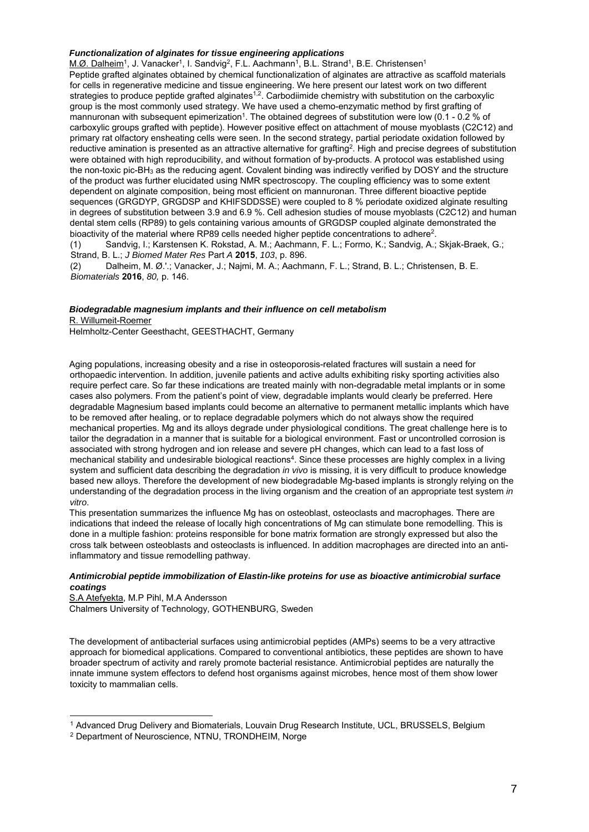#### *Functionalization of alginates for tissue engineering applications*

M.Ø. Dalheim<sup>1</sup>, J. Vanacker<sup>1</sup>, I. Sandvig<sup>2</sup>, F.L. Aachmann<sup>1</sup>, B.L. Strand<sup>1</sup>, B.E. Christensen<sup>1</sup> Peptide grafted alginates obtained by chemical functionalization of alginates are attractive as scaffold materials for cells in regenerative medicine and tissue engineering. We here present our latest work on two different strategies to produce peptide grafted alginates<sup>1,2</sup>. Carbodiimide chemistry with substitution on the carboxylic group is the most commonly used strategy. We have used a chemo-enzymatic method by first grafting of mannuronan with subsequent epimerization<sup>1</sup>. The obtained degrees of substitution were low (0.1 - 0.2 % of carboxylic groups grafted with peptide). However positive effect on attachment of mouse myoblasts (C2C12) and primary rat olfactory ensheating cells were seen. In the second strategy, partial periodate oxidation followed by reductive amination is presented as an attractive alternative for grafting2. High and precise degrees of substitution were obtained with high reproducibility, and without formation of by-products. A protocol was established using the non-toxic pic-BH3 as the reducing agent. Covalent binding was indirectly verified by DOSY and the structure of the product was further elucidated using NMR spectroscopy. The coupling efficiency was to some extent dependent on alginate composition, being most efficient on mannuronan. Three different bioactive peptide sequences (GRGDYP, GRGDSP and KHIFSDDSSE) were coupled to 8 % periodate oxidized alginate resulting in degrees of substitution between 3.9 and 6.9 %. Cell adhesion studies of mouse myoblasts (C2C12) and human dental stem cells (RP89) to gels containing various amounts of GRGDSP coupled alginate demonstrated the bioactivity of the material where RP89 cells needed higher peptide concentrations to adhere<sup>2</sup>.

(1) Sandvig, I.; Karstensen K. Rokstad, A. M.; Aachmann, F. L.; Formo, K.; Sandvig, A.; Skjak-Braek, G.; Strand, B. L.; *J Biomed Mater Res* Part *A* **2015**, *103*, p. 896.

(2) Dalheim, M. Ø.'.; Vanacker, J.; Najmi, M. A.; Aachmann, F. L.; Strand, B. L.; Christensen, B. E. *Biomaterials* **2016**, *80,* p. 146.

#### *Biodegradable magnesium implants and their influence on cell metabolism*

R. Willumeit-Roemer

-

Helmholtz-Center Geesthacht, GEESTHACHT, Germany

Aging populations, increasing obesity and a rise in osteoporosis-related fractures will sustain a need for orthopaedic intervention. In addition, juvenile patients and active adults exhibiting risky sporting activities also require perfect care. So far these indications are treated mainly with non-degradable metal implants or in some cases also polymers. From the patient's point of view, degradable implants would clearly be preferred. Here degradable Magnesium based implants could become an alternative to permanent metallic implants which have to be removed after healing, or to replace degradable polymers which do not always show the required mechanical properties. Mg and its alloys degrade under physiological conditions. The great challenge here is to tailor the degradation in a manner that is suitable for a biological environment. Fast or uncontrolled corrosion is associated with strong hydrogen and ion release and severe pH changes, which can lead to a fast loss of mechanical stability and undesirable biological reactions4. Since these processes are highly complex in a living system and sufficient data describing the degradation *in vivo* is missing, it is very difficult to produce knowledge based new alloys. Therefore the development of new biodegradable Mg-based implants is strongly relying on the understanding of the degradation process in the living organism and the creation of an appropriate test system *in vitro*.

This presentation summarizes the influence Mg has on osteoblast, osteoclasts and macrophages. There are indications that indeed the release of locally high concentrations of Mg can stimulate bone remodelling. This is done in a multiple fashion: proteins responsible for bone matrix formation are strongly expressed but also the cross talk between osteoblasts and osteoclasts is influenced. In addition macrophages are directed into an antiinflammatory and tissue remodelling pathway.

#### *Antimicrobial peptide immobilization of Elastin-like proteins for use as bioactive antimicrobial surface coatings*

S.A Atefyekta, M.P Pihl, M.A Andersson Chalmers University of Technology, GOTHENBURG, Sweden

The development of antibacterial surfaces using antimicrobial peptides (AMPs) seems to be a very attractive approach for biomedical applications. Compared to conventional antibiotics, these peptides are shown to have broader spectrum of activity and rarely promote bacterial resistance. Antimicrobial peptides are naturally the innate immune system effectors to defend host organisms against microbes, hence most of them show lower toxicity to mammalian cells.

<sup>&</sup>lt;sup>1</sup> Advanced Drug Delivery and Biomaterials, Louvain Drug Research Institute, UCL, BRUSSELS, Belgium <sup>2</sup> Department of Neuroscience, NTNU, TRONDHEIM, Norge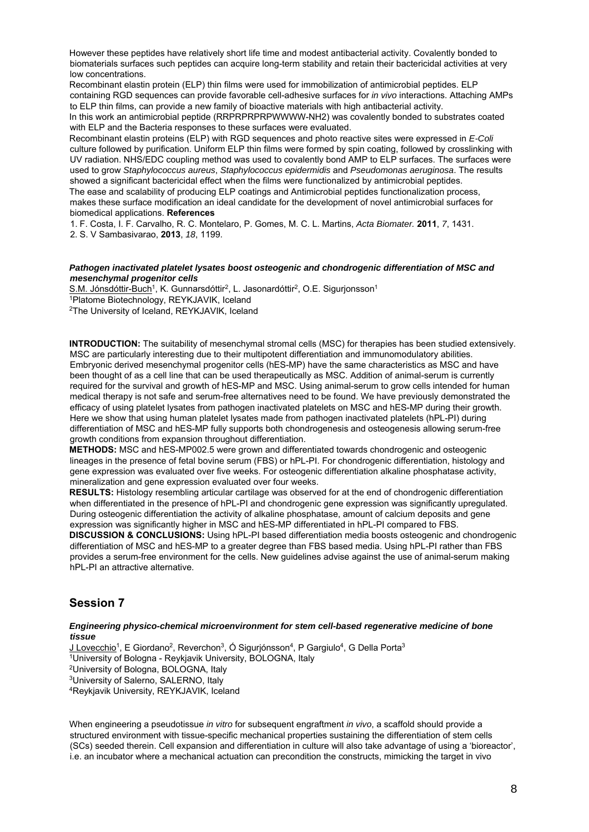However these peptides have relatively short life time and modest antibacterial activity. Covalently bonded to biomaterials surfaces such peptides can acquire long-term stability and retain their bactericidal activities at very low concentrations.

Recombinant elastin protein (ELP) thin films were used for immobilization of antimicrobial peptides. ELP containing RGD sequences can provide favorable cell-adhesive surfaces for *in vivo* interactions. Attaching AMPs to ELP thin films, can provide a new family of bioactive materials with high antibacterial activity.

In this work an antimicrobial peptide (RRPRPRPRPWWWW-NH2) was covalently bonded to substrates coated with ELP and the Bacteria responses to these surfaces were evaluated.

Recombinant elastin proteins (ELP) with RGD sequences and photo reactive sites were expressed in *E-Coli* culture followed by purification. Uniform ELP thin films were formed by spin coating, followed by crosslinking with UV radiation. NHS/EDC coupling method was used to covalently bond AMP to ELP surfaces. The surfaces were used to grow *Staphylococcus aureus*, *Staphylococcus epidermidis* and *Pseudomonas aeruginosa*. The results showed a significant bactericidal effect when the films were functionalized by antimicrobial peptides. The ease and scalability of producing ELP coatings and Antimicrobial peptides functionalization process, makes these surface modification an ideal candidate for the development of novel antimicrobial surfaces for biomedical applications. **References**

1. F. Costa, I. F. Carvalho, R. C. Montelaro, P. Gomes, M. C. L. Martins, *Acta Biomater.* **2011**, *7*, 1431.

2. S. V Sambasivarao, **2013**, *18*, 1199.

#### *Pathogen inactivated platelet lysates boost osteogenic and chondrogenic differentiation of MSC and mesenchymal progenitor cells*

S.M. Jónsdóttir-Buch<sup>1</sup>, K. Gunnarsdóttir<sup>2</sup>, L. Jasonardóttir<sup>2</sup>, O.E. Sigurjonsson<sup>1</sup><br><sup>1</sup>Platome Biotechnology, REYKJAVIK, Iceland

2The University of Iceland, REYKJAVIK, Iceland

**INTRODUCTION:** The suitability of mesenchymal stromal cells (MSC) for therapies has been studied extensively. MSC are particularly interesting due to their multipotent differentiation and immunomodulatory abilities. Embryonic derived mesenchymal progenitor cells (hES-MP) have the same characteristics as MSC and have been thought of as a cell line that can be used therapeutically as MSC. Addition of animal-serum is currently required for the survival and growth of hES-MP and MSC. Using animal-serum to grow cells intended for human medical therapy is not safe and serum-free alternatives need to be found. We have previously demonstrated the efficacy of using platelet lysates from pathogen inactivated platelets on MSC and hES-MP during their growth. Here we show that using human platelet lysates made from pathogen inactivated platelets (hPL-PI) during differentiation of MSC and hES-MP fully supports both chondrogenesis and osteogenesis allowing serum-free growth conditions from expansion throughout differentiation.

**METHODS:** MSC and hES-MP002.5 were grown and differentiated towards chondrogenic and osteogenic lineages in the presence of fetal bovine serum (FBS) or hPL-PI. For chondrogenic differentiation, histology and gene expression was evaluated over five weeks. For osteogenic differentiation alkaline phosphatase activity, mineralization and gene expression evaluated over four weeks.

**RESULTS:** Histology resembling articular cartilage was observed for at the end of chondrogenic differentiation when differentiated in the presence of hPL-PI and chondrogenic gene expression was significantly upregulated. During osteogenic differentiation the activity of alkaline phosphatase, amount of calcium deposits and gene expression was significantly higher in MSC and hES-MP differentiated in hPL-PI compared to FBS.

**DISCUSSION & CONCLUSIONS:** Using hPL-PI based differentiation media boosts osteogenic and chondrogenic differentiation of MSC and hES-MP to a greater degree than FBS based media. Using hPL-PI rather than FBS provides a serum-free environment for the cells. New guidelines advise against the use of animal-serum making hPL-PI an attractive alternative.

## **Session 7**

#### *Engineering physico-chemical microenvironment for stem cell-based regenerative medicine of bone tissue*

J Lovecchio<sup>1</sup>, E Giordano<sup>2</sup>, Reverchon<sup>3</sup>, Ó Sigurjónsson<sup>4</sup>, P Gargiulo<sup>4</sup>, G Della Porta<sup>3</sup><br><sup>1</sup>University of Bologna - Reykjavik University, BOLOGNA, Italy <sup>2</sup>University of Bologna, BOLOGNA, Italy <sup>3</sup>University of Sale <sup>4</sup>Reykjavik University, REYKJAVIK, Iceland

When engineering a pseudotissue *in vitro* for subsequent engraftment *in vivo*, a scaffold should provide a structured environment with tissue-specific mechanical properties sustaining the differentiation of stem cells (SCs) seeded therein. Cell expansion and differentiation in culture will also take advantage of using a 'bioreactor', i.e. an incubator where a mechanical actuation can precondition the constructs, mimicking the target in vivo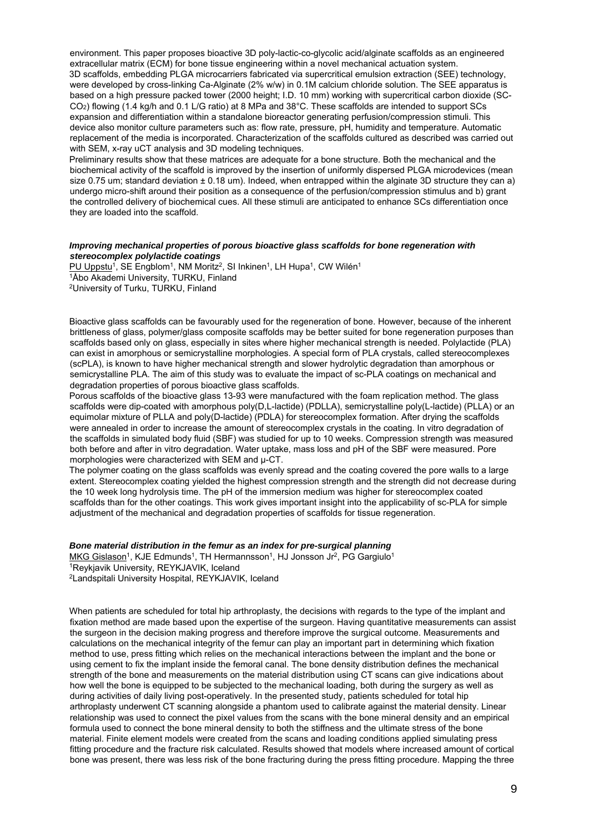environment. This paper proposes bioactive 3D poly-lactic-co-glycolic acid/alginate scaffolds as an engineered extracellular matrix (ECM) for bone tissue engineering within a novel mechanical actuation system. 3D scaffolds, embedding PLGA microcarriers fabricated via supercritical emulsion extraction (SEE) technology, were developed by cross-linking Ca-Alginate (2% w/w) in 0.1M calcium chloride solution. The SEE apparatus is based on a high pressure packed tower (2000 height; I.D. 10 mm) working with supercritical carbon dioxide (SC-CO2) flowing (1.4 kg/h and 0.1 L/G ratio) at 8 MPa and 38°C. These scaffolds are intended to support SCs expansion and differentiation within a standalone bioreactor generating perfusion/compression stimuli. This device also monitor culture parameters such as: flow rate, pressure, pH, humidity and temperature. Automatic replacement of the media is incorporated. Characterization of the scaffolds cultured as described was carried out with SEM, x-ray uCT analysis and 3D modeling techniques.

Preliminary results show that these matrices are adequate for a bone structure. Both the mechanical and the biochemical activity of the scaffold is improved by the insertion of uniformly dispersed PLGA microdevices (mean size 0.75 um; standard deviation  $\pm$  0.18 um). Indeed, when entrapped within the alginate 3D structure they can a) undergo micro-shift around their position as a consequence of the perfusion/compression stimulus and b) grant the controlled delivery of biochemical cues. All these stimuli are anticipated to enhance SCs differentiation once they are loaded into the scaffold.

#### *Improving mechanical properties of porous bioactive glass scaffolds for bone regeneration with stereocomplex polylactide coatings*

PU Uppstu<sup>1</sup>, SE Engblom<sup>1</sup>, NM Moritz<sup>2</sup>, SI Inkinen<sup>1</sup>, LH Hupa<sup>1</sup>, CW Wilén<sup>1</sup><br><sup>1</sup>Åbo Akademi University, TURKU, Finland 2University of Turku, TURKU, Finland

Bioactive glass scaffolds can be favourably used for the regeneration of bone. However, because of the inherent brittleness of glass, polymer/glass composite scaffolds may be better suited for bone regeneration purposes than scaffolds based only on glass, especially in sites where higher mechanical strength is needed. Polylactide (PLA) can exist in amorphous or semicrystalline morphologies. A special form of PLA crystals, called stereocomplexes (scPLA), is known to have higher mechanical strength and slower hydrolytic degradation than amorphous or semicrystalline PLA. The aim of this study was to evaluate the impact of sc-PLA coatings on mechanical and degradation properties of porous bioactive glass scaffolds.

Porous scaffolds of the bioactive glass 13-93 were manufactured with the foam replication method. The glass scaffolds were dip-coated with amorphous poly(D,L-lactide) (PDLLA), semicrystalline poly(L-lactide) (PLLA) or an equimolar mixture of PLLA and poly(D-lactide) (PDLA) for stereocomplex formation. After drying the scaffolds were annealed in order to increase the amount of stereocomplex crystals in the coating. In vitro degradation of the scaffolds in simulated body fluid (SBF) was studied for up to 10 weeks. Compression strength was measured both before and after in vitro degradation. Water uptake, mass loss and pH of the SBF were measured. Pore morphologies were characterized with SEM and µ-CT.

The polymer coating on the glass scaffolds was evenly spread and the coating covered the pore walls to a large extent. Stereocomplex coating yielded the highest compression strength and the strength did not decrease during the 10 week long hydrolysis time. The pH of the immersion medium was higher for stereocomplex coated scaffolds than for the other coatings. This work gives important insight into the applicability of sc-PLA for simple adjustment of the mechanical and degradation properties of scaffolds for tissue regeneration.

#### *Bone material distribution in the femur as an index for pre-surgical planning*

MKG Gislason<sup>1</sup>, KJE Edmunds<sup>1</sup>, TH Hermannsson<sup>1</sup>, HJ Jonsson Jr<sup>2</sup>, PG Gargiulo<sup>1</sup><sup>1</sup>Reykjavik University, REYKJAVIK, Iceland

2Landspitali University Hospital, REYKJAVIK, Iceland

When patients are scheduled for total hip arthroplasty, the decisions with regards to the type of the implant and fixation method are made based upon the expertise of the surgeon. Having quantitative measurements can assist the surgeon in the decision making progress and therefore improve the surgical outcome. Measurements and calculations on the mechanical integrity of the femur can play an important part in determining which fixation method to use, press fitting which relies on the mechanical interactions between the implant and the bone or using cement to fix the implant inside the femoral canal. The bone density distribution defines the mechanical strength of the bone and measurements on the material distribution using CT scans can give indications about how well the bone is equipped to be subjected to the mechanical loading, both during the surgery as well as during activities of daily living post-operatively. In the presented study, patients scheduled for total hip arthroplasty underwent CT scanning alongside a phantom used to calibrate against the material density. Linear relationship was used to connect the pixel values from the scans with the bone mineral density and an empirical formula used to connect the bone mineral density to both the stiffness and the ultimate stress of the bone material. Finite element models were created from the scans and loading conditions applied simulating press fitting procedure and the fracture risk calculated. Results showed that models where increased amount of cortical bone was present, there was less risk of the bone fracturing during the press fitting procedure. Mapping the three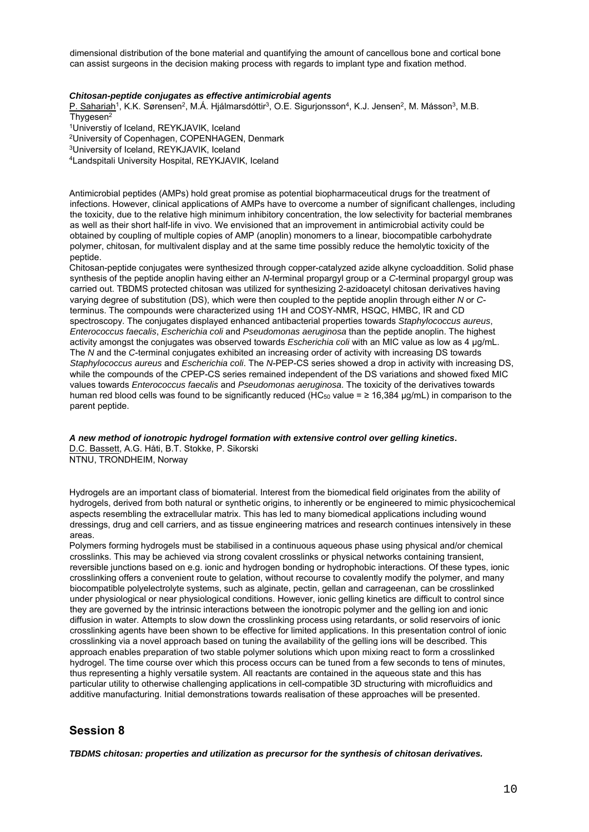dimensional distribution of the bone material and quantifying the amount of cancellous bone and cortical bone can assist surgeons in the decision making process with regards to implant type and fixation method.

#### *Chitosan-peptide conjugates as effective antimicrobial agents*

P. Sahariah<sup>1</sup>, K.K. Sørensen<sup>2</sup>, M.Á. Hjálmarsdóttir<sup>3</sup>, O.E. Sigurjonsson<sup>4</sup>, K.J. Jensen<sup>2</sup>, M. Másson<sup>3</sup>, M.B. Thygesen<sup>2</sup><br><sup>1</sup>Universtiy of Iceland, REYKJAVIK, Iceland

2University of Copenhagen, COPENHAGEN, Denmark

3University of Iceland, REYKJAVIK, Iceland

4Landspitali University Hospital, REYKJAVIK, Iceland

Antimicrobial peptides (AMPs) hold great promise as potential biopharmaceutical drugs for the treatment of infections. However, clinical applications of AMPs have to overcome a number of significant challenges, including the toxicity, due to the relative high minimum inhibitory concentration, the low selectivity for bacterial membranes as well as their short half-life in vivo. We envisioned that an improvement in antimicrobial activity could be obtained by coupling of multiple copies of AMP (anoplin) monomers to a linear, biocompatible carbohydrate polymer, chitosan, for multivalent display and at the same time possibly reduce the hemolytic toxicity of the peptide.

Chitosan-peptide conjugates were synthesized through copper-catalyzed azide alkyne cycloaddition. Solid phase synthesis of the peptide anoplin having either an *N*-terminal propargyl group or a *C*-terminal propargyl group was carried out. TBDMS protected chitosan was utilized for synthesizing 2-azidoacetyl chitosan derivatives having varying degree of substitution (DS), which were then coupled to the peptide anoplin through either *N* or *C*terminus. The compounds were characterized using 1H and COSY-NMR, HSQC, HMBC, IR and CD spectroscopy. The conjugates displayed enhanced antibacterial properties towards *Staphylococcus aureus*, *Enterococcus faecalis*, *Escherichia coli* and *Pseudomonas aeruginosa* than the peptide anoplin. The highest activity amongst the conjugates was observed towards *Escherichia coli* with an MIC value as low as 4 µg/mL. The *N* and the *C*-terminal conjugates exhibited an increasing order of activity with increasing DS towards *Staphylococcus aureus* and *Escherichia coli*. The *N*-PEP-CS series showed a drop in activity with increasing DS, while the compounds of the *C*PEP-CS series remained independent of the DS variations and showed fixed MIC values towards *Enterococcus faecalis* and *Pseudomonas aeruginosa*. The toxicity of the derivatives towards human red blood cells was found to be significantly reduced (HC<sub>50</sub> value =  $\geq$  16,384 µg/mL) in comparison to the parent peptide.

*A new method of ionotropic hydrogel formation with extensive control over gelling kinetics***.**  D.C. Bassett, A.G. Håti, B.T. Stokke, P. Sikorski

NTNU, TRONDHEIM, Norway

Hydrogels are an important class of biomaterial. Interest from the biomedical field originates from the ability of hydrogels, derived from both natural or synthetic origins, to inherently or be engineered to mimic physicochemical aspects resembling the extracellular matrix. This has led to many biomedical applications including wound dressings, drug and cell carriers, and as tissue engineering matrices and research continues intensively in these areas.

Polymers forming hydrogels must be stabilised in a continuous aqueous phase using physical and/or chemical crosslinks. This may be achieved via strong covalent crosslinks or physical networks containing transient, reversible junctions based on e.g. ionic and hydrogen bonding or hydrophobic interactions. Of these types, ionic crosslinking offers a convenient route to gelation, without recourse to covalently modify the polymer, and many biocompatible polyelectrolyte systems, such as alginate, pectin, gellan and carrageenan, can be crosslinked under physiological or near physiological conditions. However, ionic gelling kinetics are difficult to control since they are governed by the intrinsic interactions between the ionotropic polymer and the gelling ion and ionic diffusion in water. Attempts to slow down the crosslinking process using retardants, or solid reservoirs of ionic crosslinking agents have been shown to be effective for limited applications. In this presentation control of ionic crosslinking via a novel approach based on tuning the availability of the gelling ions will be described. This approach enables preparation of two stable polymer solutions which upon mixing react to form a crosslinked hydrogel. The time course over which this process occurs can be tuned from a few seconds to tens of minutes, thus representing a highly versatile system. All reactants are contained in the aqueous state and this has particular utility to otherwise challenging applications in cell-compatible 3D structuring with microfluidics and additive manufacturing. Initial demonstrations towards realisation of these approaches will be presented.

## **Session 8**

*TBDMS chitosan: properties and utilization as precursor for the synthesis of chitosan derivatives.*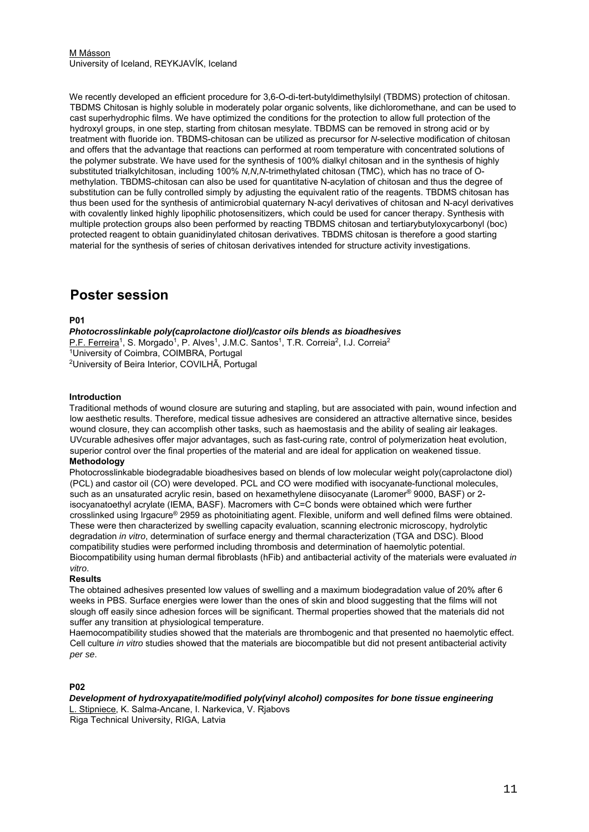#### M Másson University of Iceland, REYKJAVÍK, Iceland

We recently developed an efficient procedure for 3,6-O-di-tert-butyldimethylsilyl (TBDMS) protection of chitosan. TBDMS Chitosan is highly soluble in moderately polar organic solvents, like dichloromethane, and can be used to cast superhydrophic films. We have optimized the conditions for the protection to allow full protection of the hydroxyl groups, in one step, starting from chitosan mesylate. TBDMS can be removed in strong acid or by treatment with fluoride ion. TBDMS-chitosan can be utilized as precursor for *N*-selective modification of chitosan and offers that the advantage that reactions can performed at room temperature with concentrated solutions of the polymer substrate. We have used for the synthesis of 100% dialkyl chitosan and in the synthesis of highly substituted trialkylchitosan, including 100% *N,N,N*-trimethylated chitosan (TMC), which has no trace of Omethylation. TBDMS-chitosan can also be used for quantitative N-acylation of chitosan and thus the degree of substitution can be fully controlled simply by adjusting the equivalent ratio of the reagents. TBDMS chitosan has thus been used for the synthesis of antimicrobial quaternary N-acyl derivatives of chitosan and N-acyl derivatives with covalently linked highly lipophilic photosensitizers, which could be used for cancer therapy. Synthesis with multiple protection groups also been performed by reacting TBDMS chitosan and tertiarybutyloxycarbonyl (boc) protected reagent to obtain guanidinylated chitosan derivatives. TBDMS chitosan is therefore a good starting material for the synthesis of series of chitosan derivatives intended for structure activity investigations.

## **Poster session**

#### **P01**

*Photocrosslinkable poly(caprolactone diol)/castor oils blends as bioadhesives*  P.F. Ferreira<sup>1</sup>, S. Morgado<sup>1</sup>, P. Alves<sup>1</sup>, J.M.C. Santos<sup>1</sup>, T.R. Correia<sup>2</sup>, I.J. Correia<sup>2</sup><br><sup>1</sup>University of Coimbra, COIMBRA, Portugal<br><sup>2</sup>University of Beira Interior, COVILHÃ, Portugal

#### **Introduction**

Traditional methods of wound closure are suturing and stapling, but are associated with pain, wound infection and low aesthetic results. Therefore, medical tissue adhesives are considered an attractive alternative since, besides wound closure, they can accomplish other tasks, such as haemostasis and the ability of sealing air leakages. UVcurable adhesives offer major advantages, such as fast-curing rate, control of polymerization heat evolution, superior control over the final properties of the material and are ideal for application on weakened tissue.

### **Methodology**

Photocrosslinkable biodegradable bioadhesives based on blends of low molecular weight poly(caprolactone diol) (PCL) and castor oil (CO) were developed. PCL and CO were modified with isocyanate-functional molecules, such as an unsaturated acrylic resin, based on hexamethylene diisocyanate (Laromer<sup>®</sup> 9000, BASF) or 2isocyanatoethyl acrylate (IEMA, BASF). Macromers with C=C bonds were obtained which were further crosslinked using Irgacure® 2959 as photoinitiating agent. Flexible, uniform and well defined films were obtained. These were then characterized by swelling capacity evaluation, scanning electronic microscopy, hydrolytic degradation *in vitro*, determination of surface energy and thermal characterization (TGA and DSC). Blood compatibility studies were performed including thrombosis and determination of haemolytic potential. Biocompatibility using human dermal fibroblasts (hFib) and antibacterial activity of the materials were evaluated *in vitro*.

#### **Results**

The obtained adhesives presented low values of swelling and a maximum biodegradation value of 20% after 6 weeks in PBS. Surface energies were lower than the ones of skin and blood suggesting that the films will not slough off easily since adhesion forces will be significant. Thermal properties showed that the materials did not suffer any transition at physiological temperature.

Haemocompatibility studies showed that the materials are thrombogenic and that presented no haemolytic effect. Cell culture *in vitro* studies showed that the materials are biocompatible but did not present antibacterial activity *per se*.

#### **P02**

*Development of hydroxyapatite/modified poly(vinyl alcohol) composites for bone tissue engineering*  L. Stipniece, K. Salma-Ancane, I. Narkevica, V. Rjabovs

Riga Technical University, RIGA, Latvia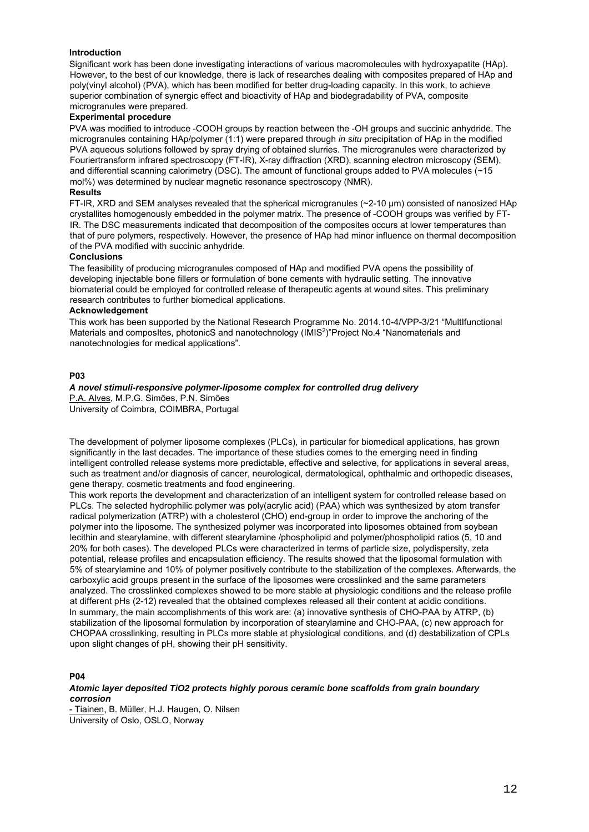#### **Introduction**

Significant work has been done investigating interactions of various macromolecules with hydroxyapatite (HAp). However, to the best of our knowledge, there is lack of researches dealing with composites prepared of HAp and poly(vinyl alcohol) (PVA), which has been modified for better drug-loading capacity. In this work, to achieve superior combination of synergic effect and bioactivity of HAp and biodegradability of PVA, composite microgranules were prepared.

#### **Experimental procedure**

PVA was modified to introduce -COOH groups by reaction between the -OH groups and succinic anhydride. The microgranules containing HAp/polymer (1:1) were prepared through *in situ* precipitation of HAp in the modified PVA aqueous solutions followed by spray drying of obtained slurries. The microgranules were characterized by Fouriertransform infrared spectroscopy (FT-IR), X-ray diffraction (XRD), scanning electron microscopy (SEM), and differential scanning calorimetry (DSC). The amount of functional groups added to PVA molecules  $\sim$  15 mol%) was determined by nuclear magnetic resonance spectroscopy (NMR).

## **Results**

FT-IR, XRD and SEM analyses revealed that the spherical microgranules (~2-10 μm) consisted of nanosized HAp crystallites homogenously embedded in the polymer matrix. The presence of -COOH groups was verified by FT-IR. The DSC measurements indicated that decomposition of the composites occurs at lower temperatures than that of pure polymers, respectively. However, the presence of HAp had minor influence on thermal decomposition of the PVA modified with succinic anhydride.

#### **Conclusions**

The feasibility of producing microgranules composed of HAp and modified PVA opens the possibility of developing injectable bone fillers or formulation of bone cements with hydraulic setting. The innovative biomaterial could be employed for controlled release of therapeutic agents at wound sites. This preliminary research contributes to further biomedical applications.

#### **Acknowledgement**

This work has been supported by the National Research Programme No. 2014.10-4/VPP-3/21 "MultIfunctional Materials and composItes, photonicS and nanotechnology (IMIS2)"Project No.4 "Nanomaterials and nanotechnologies for medical applications".

#### **P03**

## *A novel stimuli-responsive polymer-liposome complex for controlled drug delivery*

P.A. Alves, M.P.G. Simões, P.N. Simões University of Coimbra, COIMBRA, Portugal

The development of polymer liposome complexes (PLCs), in particular for biomedical applications, has grown significantly in the last decades. The importance of these studies comes to the emerging need in finding intelligent controlled release systems more predictable, effective and selective, for applications in several areas, such as treatment and/or diagnosis of cancer, neurological, dermatological, ophthalmic and orthopedic diseases, gene therapy, cosmetic treatments and food engineering.

This work reports the development and characterization of an intelligent system for controlled release based on PLCs. The selected hydrophilic polymer was poly(acrylic acid) (PAA) which was synthesized by atom transfer radical polymerization (ATRP) with a cholesterol (CHO) end-group in order to improve the anchoring of the polymer into the liposome. The synthesized polymer was incorporated into liposomes obtained from soybean lecithin and stearylamine, with different stearylamine /phospholipid and polymer/phospholipid ratios (5, 10 and 20% for both cases). The developed PLCs were characterized in terms of particle size, polydispersity, zeta potential, release profiles and encapsulation efficiency. The results showed that the liposomal formulation with 5% of stearylamine and 10% of polymer positively contribute to the stabilization of the complexes. Afterwards, the carboxylic acid groups present in the surface of the liposomes were crosslinked and the same parameters analyzed. The crosslinked complexes showed to be more stable at physiologic conditions and the release profile at different pHs (2-12) revealed that the obtained complexes released all their content at acidic conditions. In summary, the main accomplishments of this work are: (a) innovative synthesis of CHO-PAA by ATRP, (b) stabilization of the liposomal formulation by incorporation of stearylamine and CHO-PAA, (c) new approach for CHOPAA crosslinking, resulting in PLCs more stable at physiological conditions, and (d) destabilization of CPLs upon slight changes of pH, showing their pH sensitivity.

#### **P04**

#### *Atomic layer deposited TiO2 protects highly porous ceramic bone scaffolds from grain boundary corrosion*

- Tiainen, B. Müller, H.J. Haugen, O. Nilsen University of Oslo, OSLO, Norway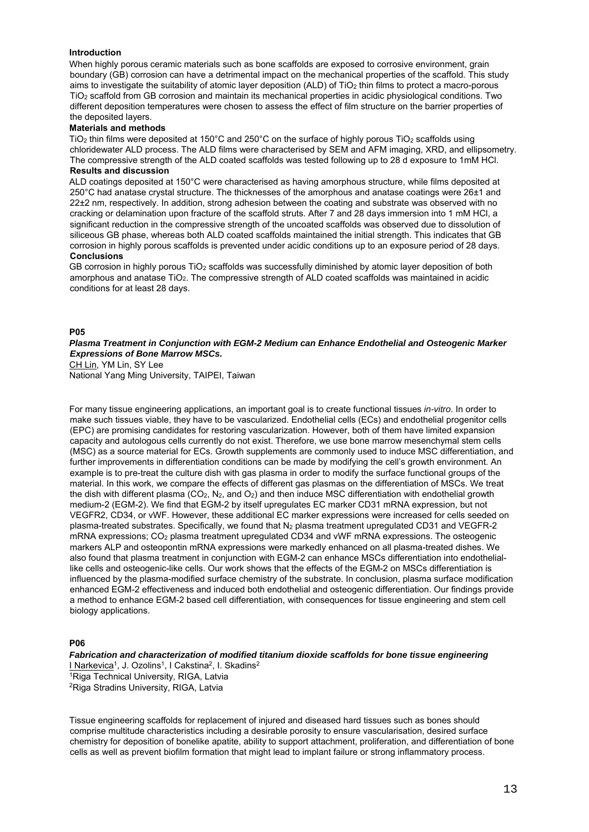#### **Introduction**

When highly porous ceramic materials such as bone scaffolds are exposed to corrosive environment, grain boundary (GB) corrosion can have a detrimental impact on the mechanical properties of the scaffold. This study aims to investigate the suitability of atomic layer deposition (ALD) of TiO<sub>2</sub> thin films to protect a macro-porous TiO2 scaffold from GB corrosion and maintain its mechanical properties in acidic physiological conditions. Two different deposition temperatures were chosen to assess the effect of film structure on the barrier properties of the deposited layers.

#### **Materials and methods**

TiO<sub>2</sub> thin films were deposited at 150°C and 250°C on the surface of highly porous TiO<sub>2</sub> scaffolds using chloridewater ALD process. The ALD films were characterised by SEM and AFM imaging, XRD, and ellipsometry. The compressive strength of the ALD coated scaffolds was tested following up to 28 d exposure to 1mM HCl. **Results and discussion**

ALD coatings deposited at 150°C were characterised as having amorphous structure, while films deposited at 250°C had anatase crystal structure. The thicknesses of the amorphous and anatase coatings were 26±1 and 22±2 nm, respectively. In addition, strong adhesion between the coating and substrate was observed with no cracking or delamination upon fracture of the scaffold struts. After 7 and 28 days immersion into 1 mM HCl, a significant reduction in the compressive strength of the uncoated scaffolds was observed due to dissolution of siliceous GB phase, whereas both ALD coated scaffolds maintained the initial strength. This indicates that GB corrosion in highly porous scaffolds is prevented under acidic conditions up to an exposure period of 28 days. **Conclusions**

GB corrosion in highly porous TiO<sub>2</sub> scaffolds was successfully diminished by atomic layer deposition of both amorphous and anatase TiO2. The compressive strength of ALD coated scaffolds was maintained in acidic conditions for at least 28 days.

#### **P05**

#### *Plasma Treatment in Conjunction with EGM-2 Medium can Enhance Endothelial and Osteogenic Marker Expressions of Bone Marrow MSCs.*

CH Lin, YM Lin, SY Lee National Yang Ming University, TAIPEI, Taiwan

For many tissue engineering applications, an important goal is to create functional tissues *in-vitro*. In order to make such tissues viable, they have to be vascularized. Endothelial cells (ECs) and endothelial progenitor cells (EPC) are promising candidates for restoring vascularization. However, both of them have limited expansion capacity and autologous cells currently do not exist. Therefore, we use bone marrow mesenchymal stem cells (MSC) as a source material for ECs. Growth supplements are commonly used to induce MSC differentiation, and further improvements in differentiation conditions can be made by modifying the cell's growth environment. An example is to pre-treat the culture dish with gas plasma in order to modify the surface functional groups of the material. In this work, we compare the effects of different gas plasmas on the differentiation of MSCs. We treat the dish with different plasma (CO<sub>2</sub>, N<sub>2</sub>, and O<sub>2</sub>) and then induce MSC differentiation with endothelial growth medium-2 (EGM-2). We find that EGM-2 by itself upregulates EC marker CD31 mRNA expression, but not VEGFR2, CD34, or vWF. However, these additional EC marker expressions were increased for cells seeded on plasma-treated substrates. Specifically, we found that N<sub>2</sub> plasma treatment upregulated CD31 and VEGFR-2 mRNA expressions; CO2 plasma treatment upregulated CD34 and vWF mRNA expressions. The osteogenic markers ALP and osteopontin mRNA expressions were markedly enhanced on all plasma-treated dishes. We also found that plasma treatment in conjunction with EGM-2 can enhance MSCs differentiation into endotheliallike cells and osteogenic-like cells. Our work shows that the effects of the EGM-2 on MSCs differentiation is influenced by the plasma-modified surface chemistry of the substrate. In conclusion, plasma surface modification enhanced EGM-2 effectiveness and induced both endothelial and osteogenic differentiation. Our findings provide a method to enhance EGM-2 based cell differentiation, with consequences for tissue engineering and stem cell biology applications.

#### **P06**

*Fabrication and characterization of modified titanium dioxide scaffolds for bone tissue engineering*  I Narkevica<sup>1</sup>, J. Ozolins<sup>1</sup>, I Cakstina<sup>2</sup>, I. Skadins<sup>2</sup><br><sup>1</sup>Riga Technical University, RIGA, Latvia 2Riga Stradins University, RIGA, Latvia

Tissue engineering scaffolds for replacement of injured and diseased hard tissues such as bones should comprise multitude characteristics including a desirable porosity to ensure vascularisation, desired surface chemistry for deposition of bonelike apatite, ability to support attachment, proliferation, and differentiation of bone cells as well as prevent biofilm formation that might lead to implant failure or strong inflammatory process.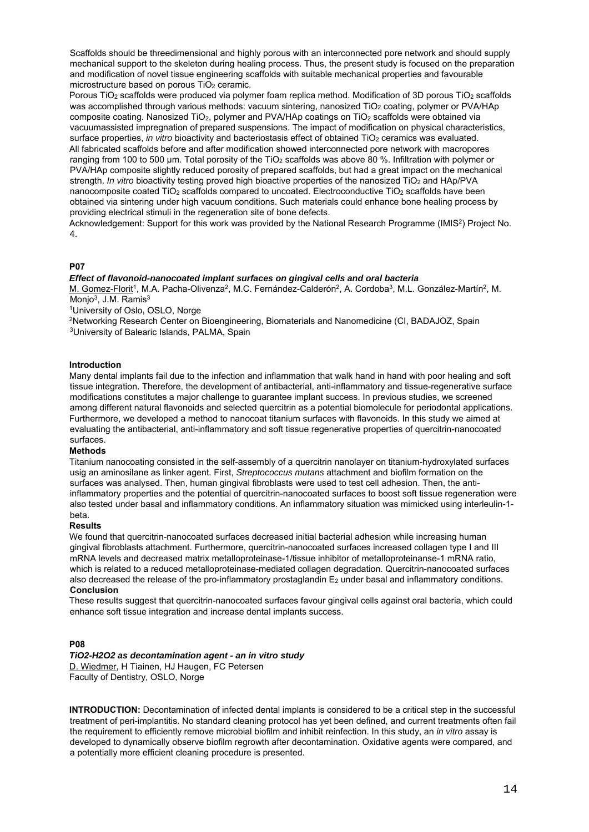Scaffolds should be threedimensional and highly porous with an interconnected pore network and should supply mechanical support to the skeleton during healing process. Thus, the present study is focused on the preparation and modification of novel tissue engineering scaffolds with suitable mechanical properties and favourable microstructure based on porous  $TiO<sub>2</sub>$  ceramic.

Porous TiO<sub>2</sub> scaffolds were produced via polymer foam replica method. Modification of 3D porous TiO<sub>2</sub> scaffolds was accomplished through various methods: vacuum sintering, nanosized TiO<sub>2</sub> coating, polymer or PVA/HAp composite coating. Nanosized TiO<sub>2</sub>, polymer and PVA/HAp coatings on TiO<sub>2</sub> scaffolds were obtained via vacuumassisted impregnation of prepared suspensions. The impact of modification on physical characteristics, surface properties, *in vitro* bioactivity and bacteriostasis effect of obtained TiO<sub>2</sub> ceramics was evaluated. All fabricated scaffolds before and after modification showed interconnected pore network with macropores ranging from 100 to 500 μm. Total porosity of the TiO2 scaffolds was above 80 %. Infiltration with polymer or PVA/HAp composite slightly reduced porosity of prepared scaffolds, but had a great impact on the mechanical strength. *In vitro* bioactivity testing proved high bioactive properties of the nanosized TiO<sub>2</sub> and HAp/PVA nanocomposite coated TiO<sub>2</sub> scaffolds compared to uncoated. Electroconductive TiO<sub>2</sub> scaffolds have been obtained via sintering under high vacuum conditions. Such materials could enhance bone healing process by providing electrical stimuli in the regeneration site of bone defects.

Acknowledgement: Support for this work was provided by the National Research Programme (IMIS2) Project No. 4.

#### **P07**

#### *Effect of flavonoid-nanocoated implant surfaces on gingival cells and oral bacteria*

M. Gomez-Florit<sup>1</sup>, M.A. Pacha-Olivenza<sup>2</sup>, M.C. Fernández-Calderón<sup>2</sup>, A. Cordoba<sup>3</sup>, M.L. González-Martín<sup>2</sup>, M. Monjo<sup>3</sup>, J.M. Ramis<sup>3</sup><br><sup>1</sup>University of Oslo, OSLO, Norge

<sup>2</sup>Networking Research Center on Bioengineering, Biomaterials and Nanomedicine (CI, BADAJOZ, Spain <sup>3</sup>University of Balearic Islands, PALMA, Spain

#### **Introduction**

Many dental implants fail due to the infection and inflammation that walk hand in hand with poor healing and soft tissue integration. Therefore, the development of antibacterial, anti-inflammatory and tissue-regenerative surface modifications constitutes a major challenge to guarantee implant success. In previous studies, we screened among different natural flavonoids and selected quercitrin as a potential biomolecule for periodontal applications. Furthermore, we developed a method to nanocoat titanium surfaces with flavonoids. In this study we aimed at evaluating the antibacterial, anti-inflammatory and soft tissue regenerative properties of quercitrin-nanocoated surfaces.

#### **Methods**

Titanium nanocoating consisted in the self-assembly of a quercitrin nanolayer on titanium-hydroxylated surfaces usig an aminosilane as linker agent. First, *Streptococcus mutans* attachment and biofilm formation on the surfaces was analysed. Then, human gingival fibroblasts were used to test cell adhesion. Then, the antiinflammatory properties and the potential of quercitrin-nanocoated surfaces to boost soft tissue regeneration were also tested under basal and inflammatory conditions. An inflammatory situation was mimicked using interleulin-1 beta.

#### **Results**

We found that quercitrin-nanocoated surfaces decreased initial bacterial adhesion while increasing human gingival fibroblasts attachment. Furthermore, quercitrin-nanocoated surfaces increased collagen type I and III mRNA levels and decreased matrix metalloproteinase-1/tissue inhibitor of metalloproteinanse-1 mRNA ratio, which is related to a reduced metalloproteinase-mediated collagen degradation. Quercitrin-nanocoated surfaces also decreased the release of the pro-inflammatory prostaglandin  $E_2$  under basal and inflammatory conditions. **Conclusion**

These results suggest that quercitrin-nanocoated surfaces favour gingival cells against oral bacteria, which could enhance soft tissue integration and increase dental implants success.

#### **P08**

#### *TiO2-H2O2 as decontamination agent - an in vitro study*

D. Wiedmer, H Tiainen, HJ Haugen, FC Petersen Faculty of Dentistry, OSLO, Norge

**INTRODUCTION:** Decontamination of infected dental implants is considered to be a critical step in the successful treatment of peri-implantitis. No standard cleaning protocol has yet been defined, and current treatments often fail the requirement to efficiently remove microbial biofilm and inhibit reinfection. In this study, an *in vitro* assay is developed to dynamically observe biofilm regrowth after decontamination. Oxidative agents were compared, and a potentially more efficient cleaning procedure is presented.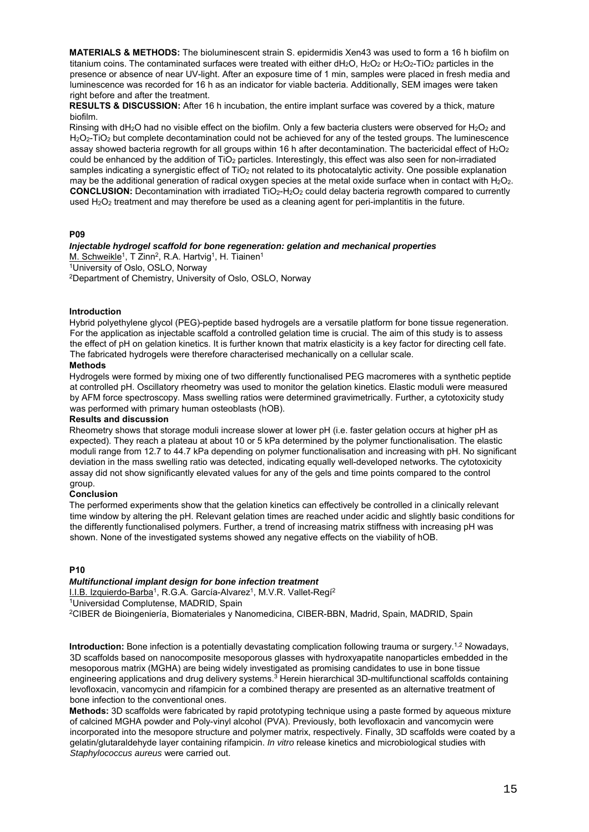**MATERIALS & METHODS:** The bioluminescent strain S. epidermidis Xen43 was used to form a 16 h biofilm on titanium coins. The contaminated surfaces were treated with either  $dH_2O$ ,  $H_2O_2$  or  $H_2O_2$ -TiO<sub>2</sub> particles in the presence or absence of near UV-light. After an exposure time of 1 min, samples were placed in fresh media and luminescence was recorded for 16 h as an indicator for viable bacteria. Additionally, SEM images were taken right before and after the treatment.

**RESULTS & DISCUSSION:** After 16 h incubation, the entire implant surface was covered by a thick, mature biofilm.

Rinsing with dH<sub>2</sub>O had no visible effect on the biofilm. Only a few bacteria clusters were observed for H<sub>2</sub>O<sub>2</sub> and H<sub>2</sub>O<sub>2</sub>-TiO<sub>2</sub> but complete decontamination could not be achieved for any of the tested groups. The luminescence assay showed bacteria regrowth for all groups within 16 h after decontamination. The bactericidal effect of  $H_2O_2$ could be enhanced by the addition of TiO<sub>2</sub> particles. Interestingly, this effect was also seen for non-irradiated samples indicating a synergistic effect of TiO<sub>2</sub> not related to its photocatalytic activity. One possible explanation may be the additional generation of radical oxygen species at the metal oxide surface when in contact with  $H_2O_2$ . **CONCLUSION:** Decontamination with irradiated TiO2-H2O2 could delay bacteria regrowth compared to currently used  $H_2O_2$  treatment and may therefore be used as a cleaning agent for peri-implantitis in the future.

#### **P09**

## *Injectable hydrogel scaffold for bone regeneration: gelation and mechanical properties*

M. Schweikle<sup>1</sup>, T Zinn<sup>2</sup>, R.A. Hartvig<sup>1</sup>, H. Tiainen<sup>1</sup><br><sup>1</sup>University of Oslo, OSLO, Norway

2Department of Chemistry, University of Oslo, OSLO, Norway

#### **Introduction**

Hybrid polyethylene glycol (PEG)-peptide based hydrogels are a versatile platform for bone tissue regeneration. For the application as injectable scaffold a controlled gelation time is crucial. The aim of this study is to assess the effect of pH on gelation kinetics. It is further known that matrix elasticity is a key factor for directing cell fate. The fabricated hydrogels were therefore characterised mechanically on a cellular scale.

## **Methods**

Hydrogels were formed by mixing one of two differently functionalised PEG macromeres with a synthetic peptide at controlled pH. Oscillatory rheometry was used to monitor the gelation kinetics. Elastic moduli were measured by AFM force spectroscopy. Mass swelling ratios were determined gravimetrically. Further, a cytotoxicity study was performed with primary human osteoblasts (hOB).

#### **Results and discussion**

Rheometry shows that storage moduli increase slower at lower pH (i.e. faster gelation occurs at higher pH as expected). They reach a plateau at about 10 or 5 kPa determined by the polymer functionalisation. The elastic moduli range from 12.7 to 44.7 kPa depending on polymer functionalisation and increasing with pH. No significant deviation in the mass swelling ratio was detected, indicating equally well-developed networks. The cytotoxicity assay did not show significantly elevated values for any of the gels and time points compared to the control group.

#### **Conclusion**

The performed experiments show that the gelation kinetics can effectively be controlled in a clinically relevant time window by altering the pH. Relevant gelation times are reached under acidic and slightly basic conditions for the differently functionalised polymers. Further, a trend of increasing matrix stiffness with increasing pH was shown. None of the investigated systems showed any negative effects on the viability of hOB.

#### **P10**

#### *Multifunctional implant design for bone infection treatment*

I.I.B. Izquierdo-Barba<sup>1</sup>, R.G.A. García-Alvarez<sup>1</sup>, M.V.R. Vallet-Regí<sup>2</sup><br><sup>1</sup>Universidad Complutense, MADRID, Spain 2CIBER de Bioingeniería, Biomateriales y Nanomedicina, CIBER-BBN, Madrid, Spain, MADRID, Spain

**Introduction:** Bone infection is a potentially devastating complication following trauma or surgery.<sup>1,2</sup> Nowadays, 3D scaffolds based on nanocomposite mesoporous glasses with hydroxyapatite nanoparticles embedded in the mesoporous matrix (MGHA) are being widely investigated as promising candidates to use in bone tissue engineering applications and drug delivery systems.<sup>3</sup> Herein hierarchical 3D-multifunctional scaffolds containing levofloxacin, vancomycin and rifampicin for a combined therapy are presented as an alternative treatment of bone infection to the conventional ones.

**Methods:** 3D scaffolds were fabricated by rapid prototyping technique using a paste formed by aqueous mixture of calcined MGHA powder and Poly-vinyl alcohol (PVA). Previously, both levofloxacin and vancomycin were incorporated into the mesopore structure and polymer matrix, respectively. Finally, 3D scaffolds were coated by a gelatin/glutaraldehyde layer containing rifampicin. *In vitro* release kinetics and microbiological studies with *Staphylococcus aureus* were carried out.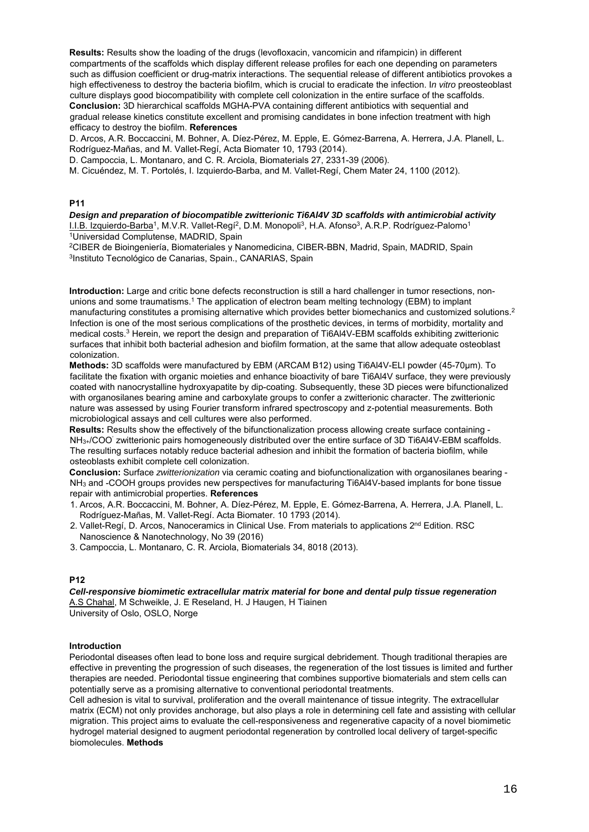**Results:** Results show the loading of the drugs (levofloxacin, vancomicin and rifampicin) in different compartments of the scaffolds which display different release profiles for each one depending on parameters such as diffusion coefficient or drug-matrix interactions. The sequential release of different antibiotics provokes a high effectiveness to destroy the bacteria biofilm, which is crucial to eradicate the infection. I*n vitro* preosteoblast culture displays good biocompatibility with complete cell colonization in the entire surface of the scaffolds. **Conclusion:** 3D hierarchical scaffolds MGHA-PVA containing different antibiotics with sequential and gradual release kinetics constitute excellent and promising candidates in bone infection treatment with high efficacy to destroy the biofilm. **References**

D. Arcos, A.R. Boccaccini, M. Bohner, A. Díez-Pérez, M. Epple, E. Gómez-Barrena, A. Herrera, J.A. Planell, L. Rodríguez-Mañas, and M. Vallet-Regí, Acta Biomater 10, 1793 (2014).

D. Campoccia, L. Montanaro, and C. R. Arciola, Biomaterials 27, 2331-39 (2006).

M. Cicuéndez, M. T. Portolés, I. Izquierdo-Barba, and M. Vallet-Regí, Chem Mater 24, 1100 (2012).

#### **P11**

*Design and preparation of biocompatible zwitterionic Ti6Al4V 3D scaffolds with antimicrobial activity*  I.I.B. Izquierdo-Barba<sup>1</sup>, M.V.R. Vallet-Regí<sup>2</sup>, D.M. Monopoli<sup>3</sup>, H.A. Afonso<sup>3</sup>, A.R.P. Rodríguez-Palomo<sup>1</sup><br><sup>1</sup>Universidad Complutense, MADRID, Spain

<sup>2</sup>CIBER de Bioingeniería, Biomateriales y Nanomedicina, CIBER-BBN, Madrid, Spain, MADRID, Spain<br><sup>3</sup>Instituto Tecnológico de Canarias, Spain., CANARIAS, Spain

**Introduction:** Large and critic bone defects reconstruction is still a hard challenger in tumor resections, nonunions and some traumatisms.<sup>1</sup> The application of electron beam melting technology (EBM) to implant manufacturing constitutes a promising alternative which provides better biomechanics and customized solutions.2 Infection is one of the most serious complications of the prosthetic devices, in terms of morbidity, mortality and medical costs.3 Herein, we report the design and preparation of Ti6Al4V-EBM scaffolds exhibiting zwitterionic surfaces that inhibit both bacterial adhesion and biofilm formation, at the same that allow adequate osteoblast colonization.

**Methods:** 3D scaffolds were manufactured by EBM (ARCAM B12) using Ti6Al4V-ELI powder (45-70µm). To facilitate the fixation with organic moieties and enhance bioactivity of bare Ti6Al4V surface, they were previously coated with nanocrystalline hydroxyapatite by dip-coating. Subsequently, these 3D pieces were bifunctionalized with organosilanes bearing amine and carboxylate groups to confer a zwitterionic character. The zwitterionic nature was assessed by using Fourier transform infrared spectroscopy and z-potential measurements. Both microbiological assays and cell cultures were also performed.

**Results:** Results show the effectively of the bifunctionalization process allowing create surface containing - NH3+/COO' zwitterionic pairs homogeneously distributed over the entire surface of 3D Ti6Al4V-EBM scaffolds. The resulting surfaces notably reduce bacterial adhesion and inhibit the formation of bacteria biofilm, while osteoblasts exhibit complete cell colonization.

**Conclusion:** Surface *zwitterionization* via ceramic coating and biofunctionalization with organosilanes bearing - NH<sub>3</sub> and -COOH groups provides new perspectives for manufacturing Ti6Al4V-based implants for bone tissue repair with antimicrobial properties. **References**

- 1. Arcos, A.R. Boccaccini, M. Bohner, A. Díez-Pérez, M. Epple, E. Gómez-Barrena, A. Herrera, J.A. Planell, L. Rodríguez-Mañas, M. Vallet-Regí. Acta Biomater. 10 1793 (2014).
- 2. Vallet-Regí, D. Arcos, Nanoceramics in Clinical Use. From materials to applications 2<sup>nd</sup> Edition. RSC Nanoscience & Nanotechnology, No 39 (2016)
- 3. Campoccia, L. Montanaro, C. R. Arciola, Biomaterials 34, 8018 (2013).

#### **P12**

*Cell-responsive biomimetic extracellular matrix material for bone and dental pulp tissue regeneration*  A.S Chahal, M Schweikle, J. E Reseland, H. J Haugen, H Tiainen University of Oslo, OSLO, Norge

#### **Introduction**

Periodontal diseases often lead to bone loss and require surgical debridement. Though traditional therapies are effective in preventing the progression of such diseases, the regeneration of the lost tissues is limited and further therapies are needed. Periodontal tissue engineering that combines supportive biomaterials and stem cells can potentially serve as a promising alternative to conventional periodontal treatments.

Cell adhesion is vital to survival, proliferation and the overall maintenance of tissue integrity. The extracellular matrix (ECM) not only provides anchorage, but also plays a role in determining cell fate and assisting with cellular migration. This project aims to evaluate the cell-responsiveness and regenerative capacity of a novel biomimetic hydrogel material designed to augment periodontal regeneration by controlled local delivery of target-specific biomolecules. **Methods**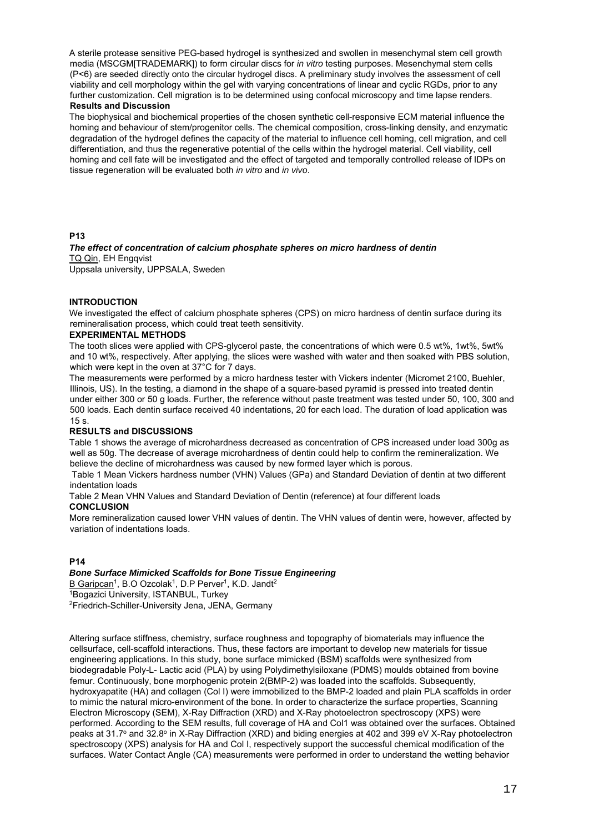A sterile protease sensitive PEG-based hydrogel is synthesized and swollen in mesenchymal stem cell growth media (MSCGM[TRADEMARK]) to form circular discs for *in vitro* testing purposes. Mesenchymal stem cells (P<6) are seeded directly onto the circular hydrogel discs. A preliminary study involves the assessment of cell viability and cell morphology within the gel with varying concentrations of linear and cyclic RGDs, prior to any further customization. Cell migration is to be determined using confocal microscopy and time lapse renders. **Results and Discussion**

The biophysical and biochemical properties of the chosen synthetic cell-responsive ECM material influence the homing and behaviour of stem/progenitor cells. The chemical composition, cross-linking density, and enzymatic degradation of the hydrogel defines the capacity of the material to influence cell homing, cell migration, and cell differentiation, and thus the regenerative potential of the cells within the hydrogel material. Cell viability, cell homing and cell fate will be investigated and the effect of targeted and temporally controlled release of IDPs on tissue regeneration will be evaluated both *in vitro* and *in vivo*.

#### **P13**

*The effect of concentration of calcium phosphate spheres on micro hardness of dentin*  TQ Qin, EH Engqvist Uppsala university, UPPSALA, Sweden

#### **INTRODUCTION**

We investigated the effect of calcium phosphate spheres (CPS) on micro hardness of dentin surface during its remineralisation process, which could treat teeth sensitivity.

#### **EXPERIMENTAL METHODS**

The tooth slices were applied with CPS-glycerol paste, the concentrations of which were 0.5 wt%, 1wt%, 5wt% and 10 wt%, respectively. After applying, the slices were washed with water and then soaked with PBS solution, which were kept in the oven at 37°C for 7 days.

The measurements were performed by a micro hardness tester with Vickers indenter (Micromet 2100, Buehler, Illinois, US). In the testing, a diamond in the shape of a square-based pyramid is pressed into treated dentin under either 300 or 50 g loads. Further, the reference without paste treatment was tested under 50, 100, 300 and 500 loads. Each dentin surface received 40 indentations, 20 for each load. The duration of load application was 15 s.

#### **RESULTS and DISCUSSIONS**

Table 1 shows the average of microhardness decreased as concentration of CPS increased under load 300g as well as 50g. The decrease of average microhardness of dentin could help to confirm the remineralization. We believe the decline of microhardness was caused by new formed layer which is porous.

 Table 1 Mean Vickers hardness number (VHN) Values (GPa) and Standard Deviation of dentin at two different indentation loads

Table 2 Mean VHN Values and Standard Deviation of Dentin (reference) at four different loads **CONCLUSION**

More remineralization caused lower VHN values of dentin. The VHN values of dentin were, however, affected by variation of indentations loads.

#### **P14**

#### *Bone Surface Mimicked Scaffolds for Bone Tissue Engineering*

B Garipcan<sup>1</sup>, B.O Ozcolak<sup>1</sup>, D.P Perver<sup>1</sup>, K.D. Jandt<sup>2</sup><br><sup>1</sup>Bogazici University, ISTANBUL, Turkey 2Friedrich-Schiller-University Jena, JENA, Germany

Altering surface stiffness, chemistry, surface roughness and topography of biomaterials may influence the cellsurface, cell-scaffold interactions. Thus, these factors are important to develop new materials for tissue engineering applications. In this study, bone surface mimicked (BSM) scaffolds were synthesized from biodegradable Poly-L- Lactic acid (PLA) by using Polydimethylsiloxane (PDMS) moulds obtained from bovine femur. Continuously, bone morphogenic protein 2(BMP-2) was loaded into the scaffolds. Subsequently, hydroxyapatite (HA) and collagen (Col I) were immobilized to the BMP-2 loaded and plain PLA scaffolds in order to mimic the natural micro-environment of the bone. In order to characterize the surface properties, Scanning Electron Microscopy (SEM), X-Ray Diffraction (XRD) and X-Ray photoelectron spectroscopy (XPS) were performed. According to the SEM results, full coverage of HA and Col1 was obtained over the surfaces. Obtained peaks at 31.7<sup>o</sup> and 32.8<sup>o</sup> in X-Ray Diffraction (XRD) and biding energies at 402 and 399 eV X-Ray photoelectron spectroscopy (XPS) analysis for HA and Col I, respectively support the successful chemical modification of the surfaces. Water Contact Angle (CA) measurements were performed in order to understand the wetting behavior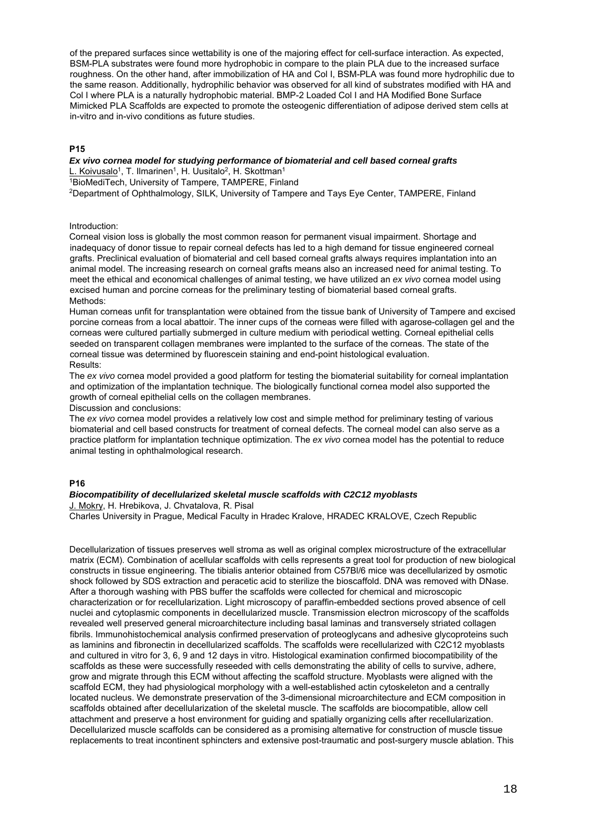of the prepared surfaces since wettability is one of the majoring effect for cell-surface interaction. As expected, BSM-PLA substrates were found more hydrophobic in compare to the plain PLA due to the increased surface roughness. On the other hand, after immobilization of HA and Col I, BSM-PLA was found more hydrophilic due to the same reason. Additionally, hydrophilic behavior was observed for all kind of substrates modified with HA and Col I where PLA is a naturally hydrophobic material. BMP-2 Loaded Col I and HA Modified Bone Surface Mimicked PLA Scaffolds are expected to promote the osteogenic differentiation of adipose derived stem cells at in-vitro and in-vivo conditions as future studies.

#### **P15**

## *Ex vivo cornea model for studying performance of biomaterial and cell based corneal grafts*

L. Koivusalo<sup>1</sup>, T. Ilmarinen<sup>1</sup>, H. Uusitalo<sup>2</sup>, H. Skottman<sup>1</sup><br><sup>1</sup>BioMediTech, University of Tampere, TAMPERE, Finland

2Department of Ophthalmology, SILK, University of Tampere and Tays Eye Center, TAMPERE, Finland

#### Introduction:

Corneal vision loss is globally the most common reason for permanent visual impairment. Shortage and inadequacy of donor tissue to repair corneal defects has led to a high demand for tissue engineered corneal grafts. Preclinical evaluation of biomaterial and cell based corneal grafts always requires implantation into an animal model. The increasing research on corneal grafts means also an increased need for animal testing. To meet the ethical and economical challenges of animal testing, we have utilized an *ex vivo* cornea model using excised human and porcine corneas for the preliminary testing of biomaterial based corneal grafts. Methods<sup>-</sup>

Human corneas unfit for transplantation were obtained from the tissue bank of University of Tampere and excised porcine corneas from a local abattoir. The inner cups of the corneas were filled with agarose-collagen gel and the corneas were cultured partially submerged in culture medium with periodical wetting. Corneal epithelial cells seeded on transparent collagen membranes were implanted to the surface of the corneas. The state of the corneal tissue was determined by fluorescein staining and end-point histological evaluation. Results:

The *ex vivo* cornea model provided a good platform for testing the biomaterial suitability for corneal implantation and optimization of the implantation technique. The biologically functional cornea model also supported the growth of corneal epithelial cells on the collagen membranes.

Discussion and conclusions:

The *ex vivo* cornea model provides a relatively low cost and simple method for preliminary testing of various biomaterial and cell based constructs for treatment of corneal defects. The corneal model can also serve as a practice platform for implantation technique optimization. The *ex vivo* cornea model has the potential to reduce animal testing in ophthalmological research.

#### **P16**

#### *Biocompatibility of decellularized skeletal muscle scaffolds with C2C12 myoblasts*

J. Mokry, H. Hrebikova, J. Chvatalova, R. Pisal Charles University in Prague, Medical Faculty in Hradec Kralove, HRADEC KRALOVE, Czech Republic

Decellularization of tissues preserves well stroma as well as original complex microstructure of the extracellular matrix (ECM). Combination of acellular scaffolds with cells represents a great tool for production of new biological constructs in tissue engineering. The tibialis anterior obtained from C57Bl/6 mice was decellularized by osmotic shock followed by SDS extraction and peracetic acid to sterilize the bioscaffold. DNA was removed with DNase. After a thorough washing with PBS buffer the scaffolds were collected for chemical and microscopic characterization or for recellularization. Light microscopy of paraffin-embedded sections proved absence of cell nuclei and cytoplasmic components in decellularized muscle. Transmission electron microscopy of the scaffolds revealed well preserved general microarchitecture including basal laminas and transversely striated collagen fibrils. Immunohistochemical analysis confirmed preservation of proteoglycans and adhesive glycoproteins such as laminins and fibronectin in decellularized scaffolds. The scaffolds were recellularized with C2C12 myoblasts and cultured in vitro for 3, 6, 9 and 12 days in vitro. Histological examination confirmed biocompatibility of the scaffolds as these were successfully reseeded with cells demonstrating the ability of cells to survive, adhere, grow and migrate through this ECM without affecting the scaffold structure. Myoblasts were aligned with the scaffold ECM, they had physiological morphology with a well-established actin cytoskeleton and a centrally located nucleus. We demonstrate preservation of the 3-dimensional microarchitecture and ECM composition in scaffolds obtained after decellularization of the skeletal muscle. The scaffolds are biocompatible, allow cell attachment and preserve a host environment for guiding and spatially organizing cells after recellularization. Decellularized muscle scaffolds can be considered as a promising alternative for construction of muscle tissue replacements to treat incontinent sphincters and extensive post-traumatic and post-surgery muscle ablation. This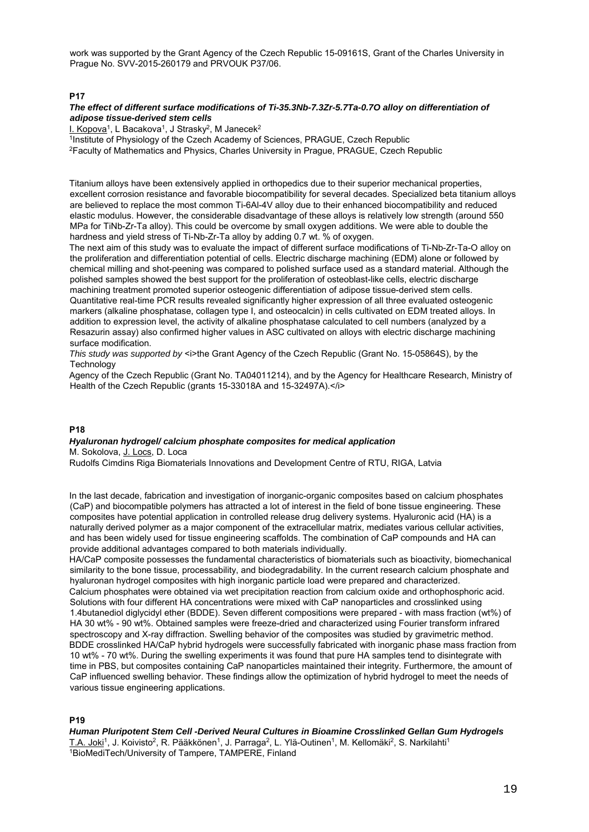work was supported by the Grant Agency of the Czech Republic 15-09161S, Grant of the Charles University in Prague No. SVV-2015-260179 and PRVOUK P37/06.

#### **P17**

## *The effect of different surface modifications of Ti-35.3Nb-7.3Zr-5.7Ta-0.7O alloy on differentiation of adipose tissue-derived stem cells*

<sup>1</sup>Institute of Physiology of the Czech Academy of Sciences, PRAGUE, Czech Republic <sup>2</sup>Faculty of Mathematics and Physics, Charles University in Prague, PRAGUE, Czech Republic

Titanium alloys have been extensively applied in orthopedics due to their superior mechanical properties, excellent corrosion resistance and favorable biocompatibility for several decades. Specialized beta titanium alloys are believed to replace the most common Ti-6Al-4V alloy due to their enhanced biocompatibility and reduced elastic modulus. However, the considerable disadvantage of these alloys is relatively low strength (around 550 MPa for TiNb-Zr-Ta alloy). This could be overcome by small oxygen additions. We were able to double the hardness and yield stress of Ti-Nb-Zr-Ta alloy by adding 0.7 wt. % of oxygen.

The next aim of this study was to evaluate the impact of different surface modifications of Ti-Nb-Zr-Ta-O alloy on the proliferation and differentiation potential of cells. Electric discharge machining (EDM) alone or followed by chemical milling and shot-peening was compared to polished surface used as a standard material. Although the polished samples showed the best support for the proliferation of osteoblast-like cells, electric discharge machining treatment promoted superior osteogenic differentiation of adipose tissue-derived stem cells. Quantitative real-time PCR results revealed significantly higher expression of all three evaluated osteogenic markers (alkaline phosphatase, collagen type I, and osteocalcin) in cells cultivated on EDM treated alloys. In addition to expression level, the activity of alkaline phosphatase calculated to cell numbers (analyzed by a Resazurin assay) also confirmed higher values in ASC cultivated on alloys with electric discharge machining surface modification.

*This study was supported by* <i>the Grant Agency of the Czech Republic (Grant No. 15-05864S), by the **Technology** 

Agency of the Czech Republic (Grant No. TA04011214), and by the Agency for Healthcare Research, Ministry of Health of the Czech Republic (grants 15-33018A and 15-32497A).</i>

#### **P18**

#### *Hyaluronan hydrogel/ calcium phosphate composites for medical application*  M. Sokolova, J. Locs, D. Loca

Rudolfs Cimdins Riga Biomaterials Innovations and Development Centre of RTU, RIGA, Latvia

In the last decade, fabrication and investigation of inorganic-organic composites based on calcium phosphates (CaP) and biocompatible polymers has attracted a lot of interest in the field of bone tissue engineering. These composites have potential application in controlled release drug delivery systems. Hyaluronic acid (HA) is a naturally derived polymer as a major component of the extracellular matrix, mediates various cellular activities, and has been widely used for tissue engineering scaffolds. The combination of CaP compounds and HA can provide additional advantages compared to both materials individually.

HA/CaP composite possesses the fundamental characteristics of biomaterials such as bioactivity, biomechanical similarity to the bone tissue, processability, and biodegradability. In the current research calcium phosphate and hyaluronan hydrogel composites with high inorganic particle load were prepared and characterized. Calcium phosphates were obtained via wet precipitation reaction from calcium oxide and orthophosphoric acid. Solutions with four different HA concentrations were mixed with CaP nanoparticles and crosslinked using 1.4butanediol diglycidyl ether (BDDE). Seven different compositions were prepared - with mass fraction (wt%) of HA 30 wt% - 90 wt%. Obtained samples were freeze-dried and characterized using Fourier transform infrared spectroscopy and X-ray diffraction. Swelling behavior of the composites was studied by gravimetric method. BDDE crosslinked HA/CaP hybrid hydrogels were successfully fabricated with inorganic phase mass fraction from 10 wt% - 70 wt%. During the swelling experiments it was found that pure HA samples tend to disintegrate with time in PBS, but composites containing CaP nanoparticles maintained their integrity. Furthermore, the amount of CaP influenced swelling behavior. These findings allow the optimization of hybrid hydrogel to meet the needs of various tissue engineering applications.

#### **P19**

*Human Pluripotent Stem Cell -Derived Neural Cultures in Bioamine Crosslinked Gellan Gum Hydrogels*  T.A. Joki<sup>1</sup>, J. Koivisto<sup>2</sup>, R. Pääkkönen<sup>1</sup>, J. Parraga<sup>2</sup>, L. Ylä-Outinen<sup>1</sup>, M. Kellomäki<sup>2</sup>, S. Narkilahti<sup>1</sup><br><sup>1</sup>BioMediTech/University of Tampere, TAMPERE, Finland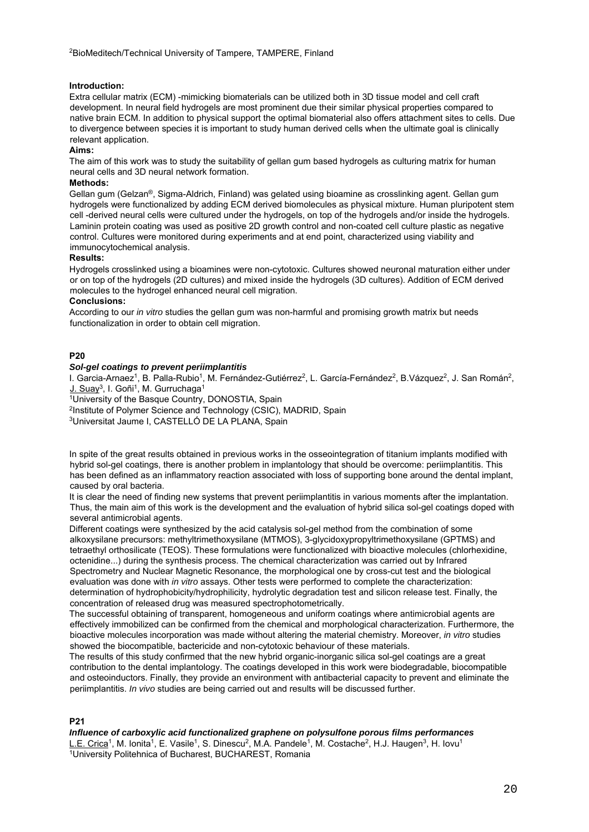#### **Introduction:**

Extra cellular matrix (ECM) -mimicking biomaterials can be utilized both in 3D tissue model and cell craft development. In neural field hydrogels are most prominent due their similar physical properties compared to native brain ECM. In addition to physical support the optimal biomaterial also offers attachment sites to cells. Due to divergence between species it is important to study human derived cells when the ultimate goal is clinically relevant application.

#### **Aims:**

The aim of this work was to study the suitability of gellan gum based hydrogels as culturing matrix for human neural cells and 3D neural network formation.

#### **Methods:**

Gellan gum (Gelzan®, Sigma-Aldrich, Finland) was gelated using bioamine as crosslinking agent. Gellan gum hydrogels were functionalized by adding ECM derived biomolecules as physical mixture. Human pluripotent stem cell -derived neural cells were cultured under the hydrogels, on top of the hydrogels and/or inside the hydrogels. Laminin protein coating was used as positive 2D growth control and non-coated cell culture plastic as negative control. Cultures were monitored during experiments and at end point, characterized using viability and immunocytochemical analysis.

#### **Results:**

Hydrogels crosslinked using a bioamines were non-cytotoxic. Cultures showed neuronal maturation either under or on top of the hydrogels (2D cultures) and mixed inside the hydrogels (3D cultures). Addition of ECM derived molecules to the hydrogel enhanced neural cell migration.

#### **Conclusions:**

According to our *in vitro* studies the gellan gum was non-harmful and promising growth matrix but needs functionalization in order to obtain cell migration.

#### **P20**

#### *Sol-gel coatings to prevent periimplantitis*

I. Garcia-Arnaez<sup>1</sup>, B. Palla-Rubio<sup>1</sup>, M. Fernández-Gutiérrez<sup>2</sup>, L. García-Fernández<sup>2</sup>, B.Vázquez<sup>2</sup>, J. San Román<sup>2</sup>, J. San Román<sup>2</sup>,

University of the Basque Country, DONOSTIA, Spain

<sup>2</sup>Institute of Polymer Science and Technology (CSIC), MADRID, Spain 3Universitat Jaume I, CASTELLÓ DE LA PLANA, Spain

In spite of the great results obtained in previous works in the osseointegration of titanium implants modified with hybrid sol-gel coatings, there is another problem in implantology that should be overcome: periimplantitis. This has been defined as an inflammatory reaction associated with loss of supporting bone around the dental implant, caused by oral bacteria.

It is clear the need of finding new systems that prevent periimplantitis in various moments after the implantation. Thus, the main aim of this work is the development and the evaluation of hybrid silica sol-gel coatings doped with several antimicrobial agents.

Different coatings were synthesized by the acid catalysis sol-gel method from the combination of some alkoxysilane precursors: methyltrimethoxysilane (MTMOS), 3-glycidoxypropyltrimethoxysilane (GPTMS) and tetraethyl orthosilicate (TEOS). These formulations were functionalized with bioactive molecules (chlorhexidine, octenidine...) during the synthesis process. The chemical characterization was carried out by Infrared Spectrometry and Nuclear Magnetic Resonance, the morphological one by cross-cut test and the biological evaluation was done with *in vitro* assays. Other tests were performed to complete the characterization: determination of hydrophobicity/hydrophilicity, hydrolytic degradation test and silicon release test. Finally, the concentration of released drug was measured spectrophotometrically.

The successful obtaining of transparent, homogeneous and uniform coatings where antimicrobial agents are effectively immobilized can be confirmed from the chemical and morphological characterization. Furthermore, the bioactive molecules incorporation was made without altering the material chemistry. Moreover, *in vitro* studies showed the biocompatible, bactericide and non-cytotoxic behaviour of these materials.

The results of this study confirmed that the new hybrid organic-inorganic silica sol-gel coatings are a great contribution to the dental implantology. The coatings developed in this work were biodegradable, biocompatible and osteoinductors. Finally, they provide an environment with antibacterial capacity to prevent and eliminate the periimplantitis. *In vivo* studies are being carried out and results will be discussed further.

#### **P21**

#### *Influence of carboxylic acid functionalized graphene on polysulfone porous films performances*

L.E. Crica<sup>1</sup>, M. Ionita<sup>1</sup>, E. Vasile<sup>1</sup>, S. Dinescu<sup>2</sup>, M.A. Pandele<sup>1</sup>, M. Costache<sup>2</sup>, H.J. Haugen<sup>3</sup>, H. Iovu<sup>1</sup><br><sup>1</sup>University Politehnica of Bucharest, BUCHAREST, Romania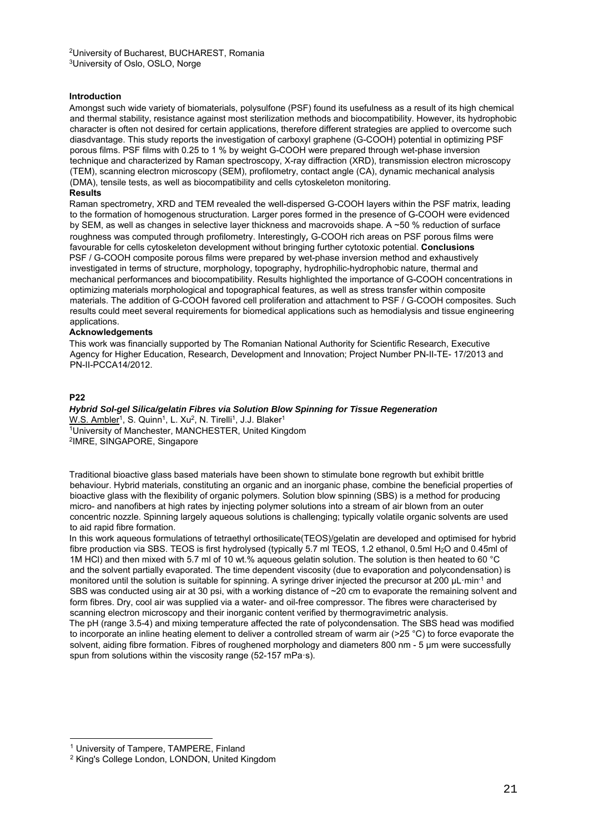#### **Introduction**

Amongst such wide variety of biomaterials, polysulfone (PSF) found its usefulness as a result of its high chemical and thermal stability, resistance against most sterilization methods and biocompatibility. However, its hydrophobic character is often not desired for certain applications, therefore different strategies are applied to overcome such diasdvantage. This study reports the investigation of carboxyl graphene (G-COOH) potential in optimizing PSF porous films. PSF films with 0.25 to 1 % by weight G-COOH were prepared through wet-phase inversion technique and characterized by Raman spectroscopy, X-ray diffraction (XRD), transmission electron microscopy (TEM), scanning electron microscopy (SEM), profilometry, contact angle (CA), dynamic mechanical analysis (DMA), tensile tests, as well as biocompatibility and cells cytoskeleton monitoring.

#### **Results**

Raman spectrometry, XRD and TEM revealed the well-dispersed G-COOH layers within the PSF matrix, leading to the formation of homogenous structuration. Larger pores formed in the presence of G-COOH were evidenced by SEM, as well as changes in selective layer thickness and macrovoids shape. A ~50 % reduction of surface roughness was computed through profilometry. Interestingly, G-COOH rich areas on PSF porous films were favourable for cells cytoskeleton development without bringing further cytotoxic potential. **Conclusions** PSF / G-COOH composite porous films were prepared by wet-phase inversion method and exhaustively investigated in terms of structure, morphology, topography, hydrophilic-hydrophobic nature, thermal and mechanical performances and biocompatibility. Results highlighted the importance of G-COOH concentrations in optimizing materials morphological and topographical features, as well as stress transfer within composite materials. The addition of G-COOH favored cell proliferation and attachment to PSF / G-COOH composites. Such results could meet several requirements for biomedical applications such as hemodialysis and tissue engineering applications.

#### **Acknowledgements**

This work was financially supported by The Romanian National Authority for Scientific Research, Executive Agency for Higher Education, Research, Development and Innovation; Project Number PN-II-TE- 17/2013 and PN-II-PCCA14/2012.

#### **P22**

-

*Hybrid Sol-gel Silica/gelatin Fibres via Solution Blow Spinning for Tissue Regeneration*  W.S. Ambler<sup>1</sup>, S. Quinn<sup>1</sup>, L. Xu<sup>2</sup>, N. Tirelli<sup>1</sup>, J.J. Blaker<sup>1</sup><br><sup>1</sup>University of Manchester, MANCHESTER, United Kingdom <sup>2</sup>IMRE, SINGAPORE, Singapore

Traditional bioactive glass based materials have been shown to stimulate bone regrowth but exhibit brittle behaviour. Hybrid materials, constituting an organic and an inorganic phase, combine the beneficial properties of bioactive glass with the flexibility of organic polymers. Solution blow spinning (SBS) is a method for producing micro- and nanofibers at high rates by injecting polymer solutions into a stream of air blown from an outer concentric nozzle. Spinning largely aqueous solutions is challenging; typically volatile organic solvents are used to aid rapid fibre formation.

In this work aqueous formulations of tetraethyl orthosilicate(TEOS)/gelatin are developed and optimised for hybrid fibre production via SBS. TEOS is first hydrolysed (typically 5.7 ml TEOS, 1.2 ethanol, 0.5ml H<sub>2</sub>O and 0.45ml of 1M HCl) and then mixed with 5.7 ml of 10 wt.% aqueous gelatin solution. The solution is then heated to 60 °C and the solvent partially evaporated. The time dependent viscosity (due to evaporation and polycondensation) is monitored until the solution is suitable for spinning. A syringe driver injected the precursor at 200 µL·min-1 and SBS was conducted using air at 30 psi, with a working distance of ~20 cm to evaporate the remaining solvent and form fibres. Dry, cool air was supplied via a water- and oil-free compressor. The fibres were characterised by scanning electron microscopy and their inorganic content verified by thermogravimetric analysis. The pH (range 3.5-4) and mixing temperature affected the rate of polycondensation. The SBS head was modified

to incorporate an inline heating element to deliver a controlled stream of warm air (>25 °C) to force evaporate the solvent, aiding fibre formation. Fibres of roughened morphology and diameters 800 nm - 5 um were successfully spun from solutions within the viscosity range (52-157 mPa·s).

<sup>&</sup>lt;sup>1</sup> University of Tampere, TAMPERE, Finland<br><sup>2</sup> King's College London, LONDON, United Kingdom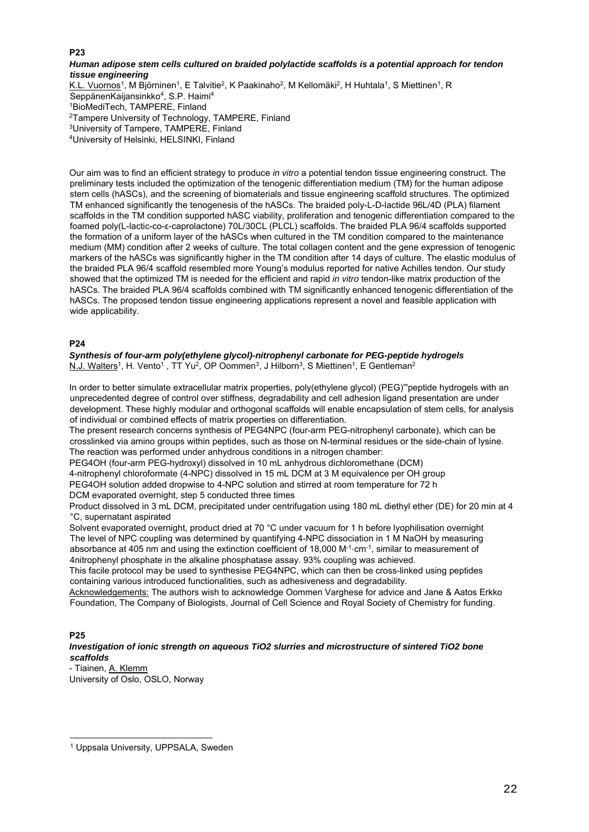#### **P23**

#### *Human adipose stem cells cultured on braided polylactide scaffolds is a potential approach for tendon tissue engineering*

K.L. Vuornos<sup>1</sup>, M Björninen<sup>1</sup>, E Talvitie<sup>2</sup>, K Paakinaho<sup>2</sup>, M Kellomäki<sup>2</sup>, H Huhtala<sup>1</sup>, S Miettinen<sup>1</sup>, R SeppänenKaijansinkko4, S.P. Haimi4 1BioMediTech, TAMPERE, Finland 2Tampere University of Technology, TAMPERE, Finland 3University of Tampere, TAMPERE, Finland 4University of Helsinki, HELSINKI, Finland

Our aim was to find an efficient strategy to produce *in vitro* a potential tendon tissue engineering construct. The preliminary tests included the optimization of the tenogenic differentiation medium (TM) for the human adipose stem cells (hASCs), and the screening of biomaterials and tissue engineering scaffold structures. The optimized TM enhanced significantly the tenogenesis of the hASCs. The braided poly-L-D-lactide 96L/4D (PLA) filament scaffolds in the TM condition supported hASC viability, proliferation and tenogenic differentiation compared to the foamed poly(L-lactic-co-ε-caprolactone) 70L/30CL (PLCL) scaffolds. The braided PLA 96/4 scaffolds supported the formation of a uniform layer of the hASCs when cultured in the TM condition compared to the maintenance medium (MM) condition after 2 weeks of culture. The total collagen content and the gene expression of tenogenic markers of the hASCs was significantly higher in the TM condition after 14 days of culture. The elastic modulus of the braided PLA 96/4 scaffold resembled more Young's modulus reported for native Achilles tendon. Our study showed that the optimized TM is needed for the efficient and rapid *in vitro* tendon-like matrix production of the hASCs. The braided PLA 96/4 scaffolds combined with TM significantly enhanced tenogenic differentiation of the hASCs. The proposed tendon tissue engineering applications represent a novel and feasible application with wide applicability.

#### **P24**

*Synthesis of four-arm poly(ethylene glycol)-nitrophenyl carbonate for PEG-peptide hydrogels*  N.J. Walters<sup>1</sup>, H. Vento<sup>1</sup>, TT Yu<sup>2</sup>, OP Oommen<sup>3</sup>, J Hilborn<sup>3</sup>, S Miettinen<sup>1</sup>, E Gentleman<sup>2</sup>

In order to better simulate extracellular matrix properties, poly(ethylene glycol) (PEG)"'peptide hydrogels with an unprecedented degree of control over stiffness, degradability and cell adhesion ligand presentation are under development. These highly modular and orthogonal scaffolds will enable encapsulation of stem cells, for analysis of individual or combined effects of matrix properties on differentiation.

The present research concerns synthesis of PEG4NPC (four-arm PEG-nitrophenyl carbonate), which can be crosslinked via amino groups within peptides, such as those on N-terminal residues or the side-chain of lysine. The reaction was performed under anhydrous conditions in a nitrogen chamber:

PEG4OH (four-arm PEG-hydroxyl) dissolved in 10 mL anhydrous dichloromethane (DCM)

4-nitrophenyl chloroformate (4-NPC) dissolved in 15 mL DCM at 3 M equivalence per OH group

PEG4OH solution added dropwise to 4-NPC solution and stirred at room temperature for 72 h

DCM evaporated overnight, step 5 conducted three times

Product dissolved in 3 mL DCM, precipitated under centrifugation using 180 mL diethyl ether (DE) for 20 min at 4 °C, supernatant aspirated

Solvent evaporated overnight, product dried at 70 °C under vacuum for 1 h before lyophilisation overnight The level of NPC coupling was determined by quantifying 4-NPC dissociation in 1 M NaOH by measuring absorbance at 405 nm and using the extinction coefficient of 18,000 M<sup>-1</sup>⋅cm<sup>-1</sup>, similar to measurement of 4nitrophenyl phosphate in the alkaline phosphatase assay. 93% coupling was achieved.

This facile protocol may be used to synthesise PEG4NPC, which can then be cross-linked using peptides containing various introduced functionalities, such as adhesiveness and degradability.

Acknowledgements: The authors wish to acknowledge Oommen Varghese for advice and Jane & Aatos Erkko Foundation, The Company of Biologists, Journal of Cell Science and Royal Society of Chemistry for funding.

#### **P25**

 $\overline{a}$ 

*Investigation of ionic strength on aqueous TiO2 slurries and microstructure of sintered TiO2 bone scaffolds* 

- Tiainen, A. Klemm University of Oslo, OSLO, Norway

<sup>1</sup> Uppsala University, UPPSALA, Sweden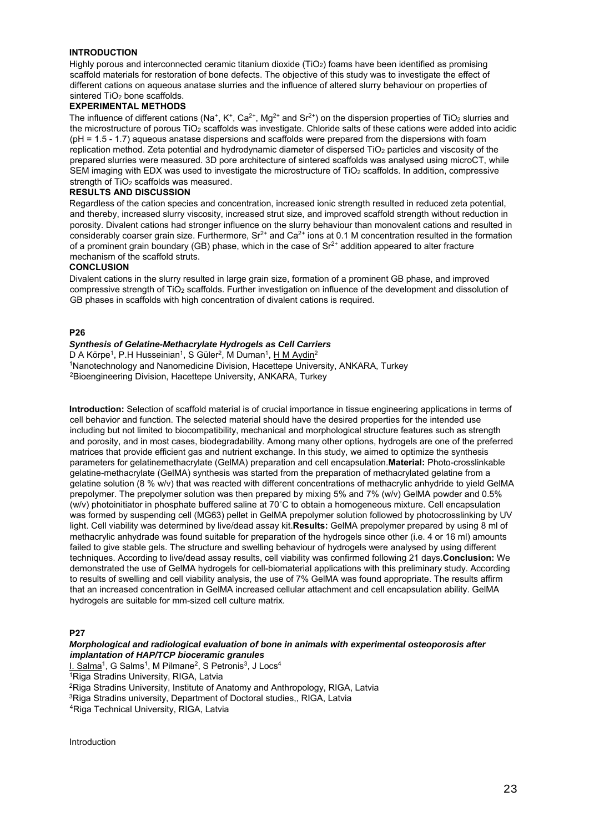#### **INTRODUCTION**

Highly porous and interconnected ceramic titanium dioxide (TiO<sub>2</sub>) foams have been identified as promising scaffold materials for restoration of bone defects. The objective of this study was to investigate the effect of different cations on aqueous anatase slurries and the influence of altered slurry behaviour on properties of sintered  $TiO<sub>2</sub>$  bone scaffolds.

#### **EXPERIMENTAL METHODS**

The influence of different cations (Na<sup>+</sup>, K<sup>+</sup>, Ca<sup>2+</sup>, Mg<sup>2+</sup> and Sr<sup>2+</sup>) on the dispersion properties of TiO<sub>2</sub> slurries and the microstructure of porous TiO<sub>2</sub> scaffolds was investigate. Chloride salts of these cations were added into acidic (pH = 1.5 - 1.7) aqueous anatase dispersions and scaffolds were prepared from the dispersions with foam replication method. Zeta potential and hydrodynamic diameter of dispersed TiO<sub>2</sub> particles and viscosity of the prepared slurries were measured. 3D pore architecture of sintered scaffolds was analysed using microCT, while SEM imaging with EDX was used to investigate the microstructure of TiO<sub>2</sub> scaffolds. In addition, compressive strength of TiO<sub>2</sub> scaffolds was measured.

## **RESULTS AND DISCUSSION**

Regardless of the cation species and concentration, increased ionic strength resulted in reduced zeta potential, and thereby, increased slurry viscosity, increased strut size, and improved scaffold strength without reduction in porosity. Divalent cations had stronger influence on the slurry behaviour than monovalent cations and resulted in considerably coarser grain size. Furthermore,  $Sr^{2+}$  and  $Ca^{2+}$  ions at 0.1 M concentration resulted in the formation of a prominent grain boundary (GB) phase, which in the case of  $Sr<sup>2+</sup>$  addition appeared to alter fracture mechanism of the scaffold struts.

#### **CONCLUSION**

Divalent cations in the slurry resulted in large grain size, formation of a prominent GB phase, and improved compressive strength of TiO2 scaffolds. Further investigation on influence of the development and dissolution of GB phases in scaffolds with high concentration of divalent cations is required.

#### **P26**

# *Synthesis of Gelatine-Methacrylate Hydrogels as Cell Carriers*

<sup>1</sup>Nanotechnology and Nanomedicine Division, Hacettepe University, ANKARA, Turkey <sup>2</sup>Bioengineering Division, Hacettepe University, ANKARA, Turkey <sup>2</sup>Bioengineering Division, Hacettepe University, ANKARA, Turkey

**Introduction:** Selection of scaffold material is of crucial importance in tissue engineering applications in terms of cell behavior and function. The selected material should have the desired properties for the intended use including but not limited to biocompatibility, mechanical and morphological structure features such as strength and porosity, and in most cases, biodegradability. Among many other options, hydrogels are one of the preferred matrices that provide efficient gas and nutrient exchange. In this study, we aimed to optimize the synthesis parameters for gelatinemethacrylate (GelMA) preparation and cell encapsulation.**Material:** Photo-crosslinkable gelatine-methacrylate (GelMA) synthesis was started from the preparation of methacrylated gelatine from a gelatine solution (8 % w/v) that was reacted with different concentrations of methacrylic anhydride to yield GelMA prepolymer. The prepolymer solution was then prepared by mixing 5% and 7% (w/v) GelMA powder and 0.5% (w/v) photoinitiator in phosphate buffered saline at 70˚C to obtain a homogeneous mixture. Cell encapsulation was formed by suspending cell (MG63) pellet in GelMA prepolymer solution followed by photocrosslinking by UV light. Cell viability was determined by live/dead assay kit.**Results:** GelMA prepolymer prepared by using 8 ml of methacrylic anhydrade was found suitable for preparation of the hydrogels since other (i.e. 4 or 16 ml) amounts failed to give stable gels. The structure and swelling behaviour of hydrogels were analysed by using different techniques. According to live/dead assay results, cell viability was confirmed following 21 days.**Conclusion:** We demonstrated the use of GelMA hydrogels for cell-biomaterial applications with this preliminary study. According to results of swelling and cell viability analysis, the use of 7% GelMA was found appropriate. The results affirm that an increased concentration in GelMA increased cellular attachment and cell encapsulation ability. GelMA hydrogels are suitable for mm-sized cell culture matrix.

#### **P27**

#### *Morphological and radiological evaluation of bone in animals with experimental osteoporosis after implantation of HAP/TCP bioceramic granules*

I. Salma<sup>1</sup>, G Salms<sup>1</sup>, M Pilmane<sup>2</sup>, S Petronis<sup>3</sup>, J Locs<sup>4</sup><br><sup>1</sup>Riga Stradins University, RIGA, Latvia

<sup>2</sup>Riga Stradins University, Institute of Anatomy and Anthropology, RIGA, Latvia <sup>3</sup>Riga Stradins university, Department of Doctoral studies,, RIGA, Latvia 4Riga Technical University, RIGA, Latvia

Introduction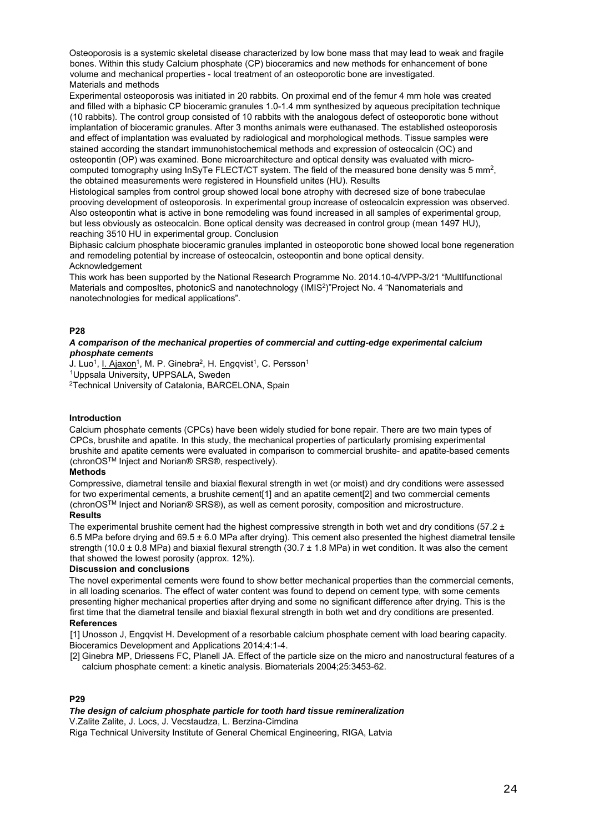Osteoporosis is a systemic skeletal disease characterized by low bone mass that may lead to weak and fragile bones. Within this study Calcium phosphate (CP) bioceramics and new methods for enhancement of bone volume and mechanical properties - local treatment of an osteoporotic bone are investigated. Materials and methods

Experimental osteoporosis was initiated in 20 rabbits. On proximal end of the femur 4 mm hole was created and filled with a biphasic CP bioceramic granules 1.0-1.4 mm synthesized by aqueous precipitation technique (10 rabbits). The control group consisted of 10 rabbits with the analogous defect of osteoporotic bone without implantation of bioceramic granules. After 3 months animals were euthanased. The established osteoporosis and effect of implantation was evaluated by radiological and morphological methods. Tissue samples were stained according the standart immunohistochemical methods and expression of osteocalcin (OC) and osteopontin (OP) was examined. Bone microarchitecture and optical density was evaluated with microcomputed tomography using InSyTe FLECT/CT system. The field of the measured bone density was 5 mm2, the obtained measurements were registered in Hounsfield unites (HU). Results

Histological samples from control group showed local bone atrophy with decresed size of bone trabeculae prooving development of osteoporosis. In experimental group increase of osteocalcin expression was observed. Also osteopontin what is active in bone remodeling was found increased in all samples of experimental group, but less obviously as osteocalcin. Bone optical density was decreased in control group (mean 1497 HU), reaching 3510 HU in experimental group. Conclusion

Biphasic calcium phosphate bioceramic granules implanted in osteoporotic bone showed local bone regeneration and remodeling potential by increase of osteocalcin, osteopontin and bone optical density. Acknowledgement

This work has been supported by the National Research Programme No. 2014.10-4/VPP-3/21 "MultIfunctional Materials and composItes, photonicS and nanotechnology (IMIS2)"Project No. 4 "Nanomaterials and nanotechnologies for medical applications".

#### **P28**

#### *A comparison of the mechanical properties of commercial and cutting-edge experimental calcium phosphate cements*

J. Luo<sup>1</sup>, I. Ajaxon<sup>1</sup>, M. P. Ginebra<sup>2</sup>, H. Engqvist<sup>1</sup>, C. Persson<sup>1</sup> 1Uppsala University, UPPSALA, Sweden

2Technical University of Catalonia, BARCELONA, Spain

#### **Introduction**

Calcium phosphate cements (CPCs) have been widely studied for bone repair. There are two main types of CPCs, brushite and apatite. In this study, the mechanical properties of particularly promising experimental brushite and apatite cements were evaluated in comparison to commercial brushite- and apatite-based cements (chronOSTM Inject and Norian® SRS®, respectively).

### **Methods**

Compressive, diametral tensile and biaxial flexural strength in wet (or moist) and dry conditions were assessed for two experimental cements, a brushite cement<sup>[1]</sup> and an apatite cement<sup>[2]</sup> and two commercial cements (chronOSTM Inject and Norian® SRS®), as well as cement porosity, composition and microstructure.

#### **Results**

The experimental brushite cement had the highest compressive strength in both wet and dry conditions (57.2  $\pm$ 6.5 MPa before drying and 69.5 ± 6.0 MPa after drying). This cement also presented the highest diametral tensile strength (10.0  $\pm$  0.8 MPa) and biaxial flexural strength (30.7  $\pm$  1.8 MPa) in wet condition. It was also the cement that showed the lowest porosity (approx. 12%).

#### **Discussion and conclusions**

The novel experimental cements were found to show better mechanical properties than the commercial cements, in all loading scenarios. The effect of water content was found to depend on cement type, with some cements presenting higher mechanical properties after drying and some no significant difference after drying. This is the first time that the diametral tensile and biaxial flexural strength in both wet and dry conditions are presented. **References**

[1] Unosson J, Engqvist H. Development of a resorbable calcium phosphate cement with load bearing capacity. Bioceramics Development and Applications 2014;4:1-4.

[2] Ginebra MP, Driessens FC, Planell JA. Effect of the particle size on the micro and nanostructural features of a calcium phosphate cement: a kinetic analysis. Biomaterials 2004;25:3453-62.

#### **P29**

#### *The design of calcium phosphate particle for tooth hard tissue remineralization*

V.Zalite Zalite, J. Locs, J. Vecstaudza, L. Berzina-Cimdina

Riga Technical University Institute of General Chemical Engineering, RIGA, Latvia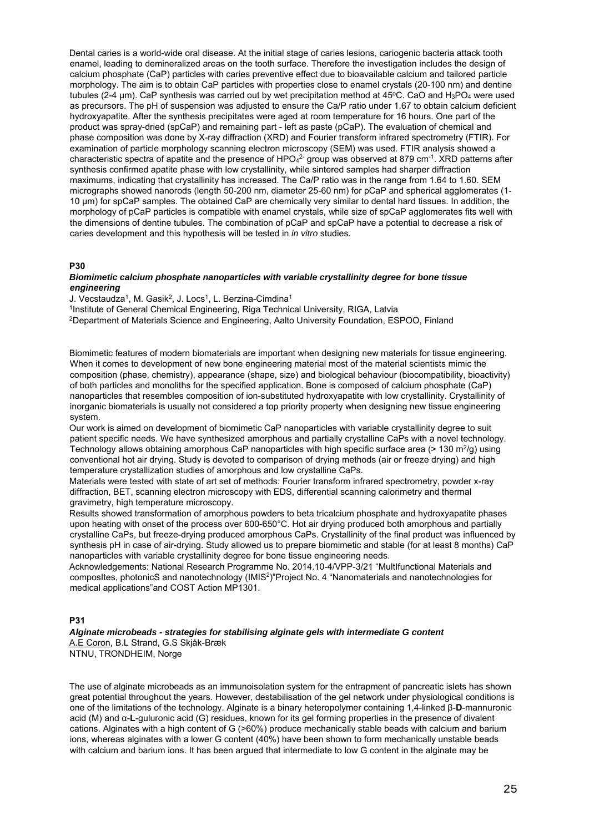Dental caries is a world-wide oral disease. At the initial stage of caries lesions, cariogenic bacteria attack tooth enamel, leading to demineralized areas on the tooth surface. Therefore the investigation includes the design of calcium phosphate (CaP) particles with caries preventive effect due to bioavailable calcium and tailored particle morphology. The aim is to obtain CaP particles with properties close to enamel crystals (20-100 nm) and dentine tubules (2-4  $\mu$ m). CaP synthesis was carried out by wet precipitation method at 45°C. CaO and H<sub>3</sub>PO<sub>4</sub> were used as precursors. The pH of suspension was adjusted to ensure the Ca/P ratio under 1.67 to obtain calcium deficient hydroxyapatite. After the synthesis precipitates were aged at room temperature for 16 hours. One part of the product was spray-dried (spCaP) and remaining part - left as paste (pCaP). The evaluation of chemical and phase composition was done by X-ray diffraction (XRD) and Fourier transform infrared spectrometry (FTIR). For examination of particle morphology scanning electron microscopy (SEM) was used. FTIR analysis showed a characteristic spectra of apatite and the presence of HPO $4^2$  group was observed at 879 cm $^{\text{-1}}$ . XRD patterns after synthesis confirmed apatite phase with low crystallinity, while sintered samples had sharper diffraction maximums, indicating that crystallinity has increased. The Ca/P ratio was in the range from 1.64 to 1.60. SEM micrographs showed nanorods (length 50-200 nm, diameter 25-60 nm) for pCaP and spherical agglomerates (1- 10 µm) for spCaP samples. The obtained CaP are chemically very similar to dental hard tissues. In addition, the morphology of pCaP particles is compatible with enamel crystals, while size of spCaP agglomerates fits well with the dimensions of dentine tubules. The combination of pCaP and spCaP have a potential to decrease a risk of caries development and this hypothesis will be tested in *in vitro* studies.

#### **P30**

#### *Biomimetic calcium phosphate nanoparticles with variable crystallinity degree for bone tissue engineering*

J. Vecstaudza<sup>1</sup>, M. Gasik<sup>2</sup>, J. Locs<sup>1</sup>, L. Berzina-Cimdina<sup>1</sup><br><sup>1</sup>Institute of General Chemical Engineering, Riga Technical University, RIGA, Latvia<br><sup>2</sup>Department of Materials Science and Engineering, Aalto University Fo

Biomimetic features of modern biomaterials are important when designing new materials for tissue engineering. When it comes to development of new bone engineering material most of the material scientists mimic the composition (phase, chemistry), appearance (shape, size) and biological behaviour (biocompatibility, bioactivity) of both particles and monoliths for the specified application. Bone is composed of calcium phosphate (CaP) nanoparticles that resembles composition of ion-substituted hydroxyapatite with low crystallinity. Crystallinity of inorganic biomaterials is usually not considered a top priority property when designing new tissue engineering system.

Our work is aimed on development of biomimetic CaP nanoparticles with variable crystallinity degree to suit patient specific needs. We have synthesized amorphous and partially crystalline CaPs with a novel technology. Technology allows obtaining amorphous CaP nanoparticles with high specific surface area ( $> 130 \text{ m}^2/\text{g}$ ) using conventional hot air drying. Study is devoted to comparison of drying methods (air or freeze drying) and high temperature crystallization studies of amorphous and low crystalline CaPs.

Materials were tested with state of art set of methods: Fourier transform infrared spectrometry, powder x-ray diffraction, BET, scanning electron microscopy with EDS, differential scanning calorimetry and thermal gravimetry, high temperature microscopy.

Results showed transformation of amorphous powders to beta tricalcium phosphate and hydroxyapatite phases upon heating with onset of the process over 600-650°C. Hot air drying produced both amorphous and partially crystalline CaPs, but freeze-drying produced amorphous CaPs. Crystallinity of the final product was influenced by synthesis pH in case of air-drying. Study allowed us to prepare biomimetic and stable (for at least 8 months) CaP nanoparticles with variable crystallinity degree for bone tissue engineering needs.

Acknowledgements: National Research Programme No. 2014.10-4/VPP-3/21 "MultIfunctional Materials and composItes, photonicS and nanotechnology (IMIS2)"Project No. 4 "Nanomaterials and nanotechnologies for medical applications"and COST Action MP1301.

#### **P31**

## *Alginate microbeads - strategies for stabilising alginate gels with intermediate G content*

A.E Coron, B.L Strand, G.S Skjåk-Bræk NTNU, TRONDHEIM, Norge

The use of alginate microbeads as an immunoisolation system for the entrapment of pancreatic islets has shown great potential throughout the years. However, destabilisation of the gel network under physiological conditions is one of the limitations of the technology. Alginate is a binary heteropolymer containing 1,4-linked β-**D**-mannuronic acid (M) and α-**L**-guluronic acid (G) residues, known for its gel forming properties in the presence of divalent cations. Alginates with a high content of G (>60%) produce mechanically stable beads with calcium and barium ions, whereas alginates with a lower G content (40%) have been shown to form mechanically unstable beads with calcium and barium ions. It has been argued that intermediate to low G content in the alginate may be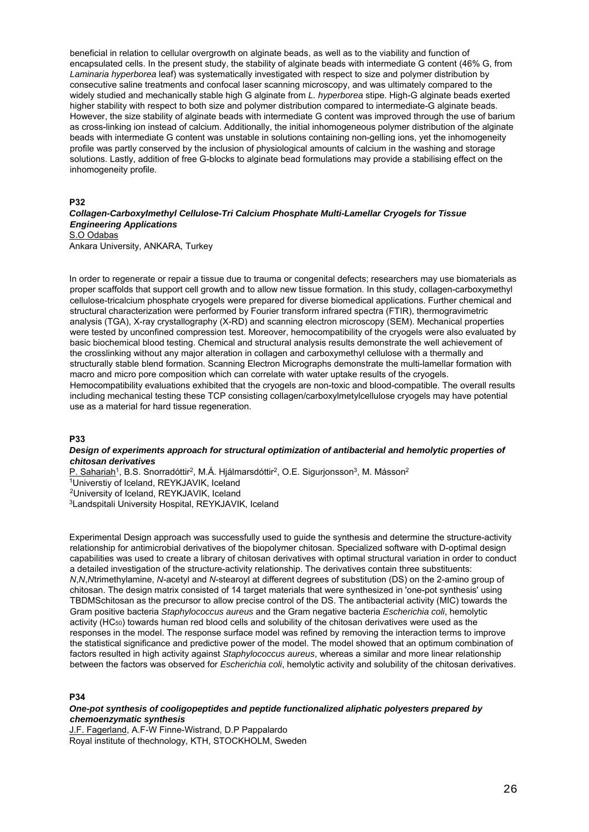beneficial in relation to cellular overgrowth on alginate beads, as well as to the viability and function of encapsulated cells. In the present study, the stability of alginate beads with intermediate G content (46% G, from *Laminaria hyperborea* leaf) was systematically investigated with respect to size and polymer distribution by consecutive saline treatments and confocal laser scanning microscopy, and was ultimately compared to the widely studied and mechanically stable high G alginate from *L. hyperborea* stipe. High-G alginate beads exerted higher stability with respect to both size and polymer distribution compared to intermediate-G alginate beads. However, the size stability of alginate beads with intermediate G content was improved through the use of barium as cross-linking ion instead of calcium. Additionally, the initial inhomogeneous polymer distribution of the alginate beads with intermediate G content was unstable in solutions containing non-gelling ions, yet the inhomogeneity profile was partly conserved by the inclusion of physiological amounts of calcium in the washing and storage solutions. Lastly, addition of free G-blocks to alginate bead formulations may provide a stabilising effect on the inhomogeneity profile.

#### **P32**

#### *Collagen-Carboxylmethyl Cellulose-Tri Calcium Phosphate Multi-Lamellar Cryogels for Tissue Engineering Applications*  S.O Odabas

Ankara University, ANKARA, Turkey

In order to regenerate or repair a tissue due to trauma or congenital defects; researchers may use biomaterials as proper scaffolds that support cell growth and to allow new tissue formation. In this study, collagen-carboxymethyl cellulose-tricalcium phosphate cryogels were prepared for diverse biomedical applications. Further chemical and structural characterization were performed by Fourier transform infrared spectra (FTIR), thermogravimetric analysis (TGA), X-ray crystallography (X-RD) and scanning electron microscopy (SEM). Mechanical properties were tested by unconfined compression test. Moreover, hemocompatibility of the cryogels were also evaluated by basic biochemical blood testing. Chemical and structural analysis results demonstrate the well achievement of the crosslinking without any major alteration in collagen and carboxymethyl cellulose with a thermally and structurally stable blend formation. Scanning Electron Micrographs demonstrate the multi-lamellar formation with macro and micro pore composition which can correlate with water uptake results of the cryogels. Hemocompatibility evaluations exhibited that the cryogels are non-toxic and blood-compatible. The overall results including mechanical testing these TCP consisting collagen/carboxylmetylcellulose cryogels may have potential use as a material for hard tissue regeneration.

#### **P33**

#### *Design of experiments approach for structural optimization of antibacterial and hemolytic properties of chitosan derivatives*

P. Sahariah<sup>1</sup>, B.S. Snorradóttir<sup>2</sup>, M.Á. Hjálmarsdóttir<sup>2</sup>, O.E. Sigurjonsson<sup>3</sup>, M. Másson<sup>2</sup><br><sup>1</sup>Universtiv of Iceland, REYKJAVIK, Iceland 2University of Iceland, REYKJAVIK, Iceland

3Landspitali University Hospital, REYKJAVIK, Iceland

Experimental Design approach was successfully used to guide the synthesis and determine the structure-activity relationship for antimicrobial derivatives of the biopolymer chitosan. Specialized software with D-optimal design capabilities was used to create a library of chitosan derivatives with optimal structural variation in order to conduct a detailed investigation of the structure-activity relationship. The derivatives contain three substituents: *N*,*N*,*N*trimethylamine, *N*-acetyl and *N*-stearoyl at different degrees of substitution (DS) on the 2-amino group of chitosan. The design matrix consisted of 14 target materials that were synthesized in 'one-pot synthesis' using TBDMSchitosan as the precursor to allow precise control of the DS. The antibacterial activity (MIC) towards the Gram positive bacteria *Staphylococcus aureus* and the Gram negative bacteria *Escherichia coli*, hemolytic activity (HC<sub>50</sub>) towards human red blood cells and solubility of the chitosan derivatives were used as the responses in the model. The response surface model was refined by removing the interaction terms to improve the statistical significance and predictive power of the model. The model showed that an optimum combination of factors resulted in high activity against *Staphylococcus aureus*, whereas a similar and more linear relationship between the factors was observed for *Escherichia coli*, hemolytic activity and solubility of the chitosan derivatives.

#### **P34**

#### *One-pot synthesis of cooligopeptides and peptide functionalized aliphatic polyesters prepared by chemoenzymatic synthesis*

J.F. Fagerland, A.F-W Finne-Wistrand, D.P Pappalardo Royal institute of thechnology, KTH, STOCKHOLM, Sweden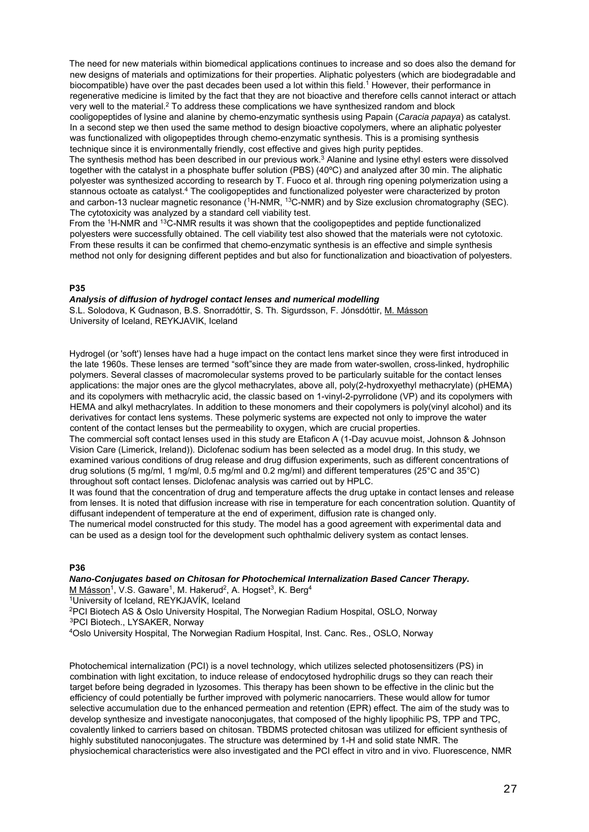The need for new materials within biomedical applications continues to increase and so does also the demand for new designs of materials and optimizations for their properties. Aliphatic polyesters (which are biodegradable and biocompatible) have over the past decades been used a lot within this field.<sup>1</sup> However, their performance in regenerative medicine is limited by the fact that they are not bioactive and therefore cells cannot interact or attach very well to the material.2 To address these complications we have synthesized random and block cooligopeptides of lysine and alanine by chemo-enzymatic synthesis using Papain (*Caracia papaya*) as catalyst. In a second step we then used the same method to design bioactive copolymers, where an aliphatic polyester was functionalized with oligopeptides through chemo-enzymatic synthesis. This is a promising synthesis technique since it is environmentally friendly, cost effective and gives high purity peptides.

The synthesis method has been described in our previous work.<sup>3</sup> Alanine and lysine ethyl esters were dissolved together with the catalyst in a phosphate buffer solution (PBS) (40ºC) and analyzed after 30 min. The aliphatic polyester was synthesized according to research by T. Fuoco et al. through ring opening polymerization using a stannous octoate as catalyst.<sup>4</sup> The cooligopeptides and functionalized polyester were characterized by proton and carbon-13 nuclear magnetic resonance (<sup>1</sup>H-NMR, <sup>13</sup>C-NMR) and by Size exclusion chromatography (SEC). The cytotoxicity was analyzed by a standard cell viability test.

From the 1H-NMR and 13C-NMR results it was shown that the cooligopeptides and peptide functionalized polyesters were successfully obtained. The cell viability test also showed that the materials were not cytotoxic. From these results it can be confirmed that chemo-enzymatic synthesis is an effective and simple synthesis method not only for designing different peptides and but also for functionalization and bioactivation of polyesters.

#### **P35**

#### *Analysis of diffusion of hydrogel contact lenses and numerical modelling*

S.L. Solodova, K Gudnason, B.S. Snorradóttir, S. Th. Sigurdsson, F. Jónsdóttir, M. Másson University of Iceland, REYKJAVIK, Iceland

Hydrogel (or 'soft') lenses have had a huge impact on the contact lens market since they were first introduced in the late 1960s. These lenses are termed "soft"since they are made from water-swollen, cross-linked, hydrophilic polymers. Several classes of macromolecular systems proved to be particularly suitable for the contact lenses applications: the major ones are the glycol methacrylates, above all, poly(2-hydroxyethyl methacrylate) (pHEMA) and its copolymers with methacrylic acid, the classic based on 1-vinyl-2-pyrrolidone (VP) and its copolymers with HEMA and alkyl methacrylates. In addition to these monomers and their copolymers is poly(vinyl alcohol) and its derivatives for contact lens systems. These polymeric systems are expected not only to improve the water content of the contact lenses but the permeability to oxygen, which are crucial properties.

The commercial soft contact lenses used in this study are Etaficon A (1-Day acuvue moist, Johnson & Johnson Vision Care (Limerick, Ireland)). Diclofenac sodium has been selected as a model drug. In this study, we examined various conditions of drug release and drug diffusion experiments, such as different concentrations of drug solutions (5 mg/ml, 1 mg/ml, 0.5 mg/ml and 0.2 mg/ml) and different temperatures (25°C and 35°C) throughout soft contact lenses. Diclofenac analysis was carried out by HPLC.

It was found that the concentration of drug and temperature affects the drug uptake in contact lenses and release from lenses. It is noted that diffusion increase with rise in temperature for each concentration solution. Quantity of diffusant independent of temperature at the end of experiment, diffusion rate is changed only.

The numerical model constructed for this study. The model has a good agreement with experimental data and can be used as a design tool for the development such ophthalmic delivery system as contact lenses.

#### **P36**

*Nano-Conjugates based on Chitosan for Photochemical Internalization Based Cancer Therapy.*  M Másson<sup>1</sup>, V.S. Gaware<sup>1</sup>, M. Hakerud<sup>2</sup>, A. Hogset<sup>3</sup>, K. Berg<sup>4</sup><br><sup>1</sup>University of Iceland, REYKJAVÍK, Iceland

<sup>2</sup>PCI Biotech AS & Oslo University Hospital, The Norwegian Radium Hospital, OSLO, Norway <sup>3</sup>PCI Biotech., LYSAKER, Norway

4Oslo University Hospital, The Norwegian Radium Hospital, Inst. Canc. Res., OSLO, Norway

Photochemical internalization (PCI) is a novel technology, which utilizes selected photosensitizers (PS) in combination with light excitation, to induce release of endocytosed hydrophilic drugs so they can reach their target before being degraded in lyzosomes. This therapy has been shown to be effective in the clinic but the efficiency of could potentially be further improved with polymeric nanocarriers. These would allow for tumor selective accumulation due to the enhanced permeation and retention (EPR) effect. The aim of the study was to develop synthesize and investigate nanoconjugates, that composed of the highly lipophilic PS, TPP and TPC, covalently linked to carriers based on chitosan. TBDMS protected chitosan was utilized for efficient synthesis of highly substituted nanoconjugates. The structure was determined by 1-H and solid state NMR. The physiochemical characteristics were also investigated and the PCI effect in vitro and in vivo. Fluorescence, NMR